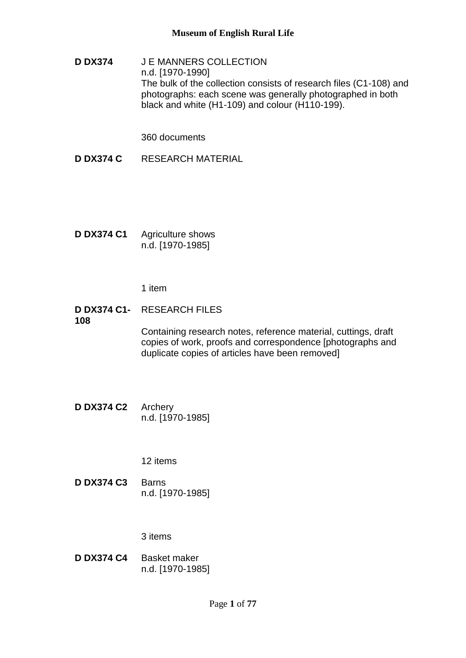**D DX374** J E MANNERS COLLECTION n.d. [1970-1990] The bulk of the collection consists of research files (C1-108) and photographs: each scene was generally photographed in both black and white (H1-109) and colour (H110-199).

360 documents

- **D DX374 C** RESEARCH MATERIAL
- **D DX374 C1** Agriculture shows n.d. [1970-1985]

1 item

**D DX374 C1-** RESEARCH FILES **108**

> Containing research notes, reference material, cuttings, draft copies of work, proofs and correspondence [photographs and duplicate copies of articles have been removed]

**D DX374 C2** Archery n.d. [1970-1985]

12 items

**D DX374 C3** Barns n.d. [1970-1985]

3 items

**D DX374 C4** Basket maker n.d. [1970-1985]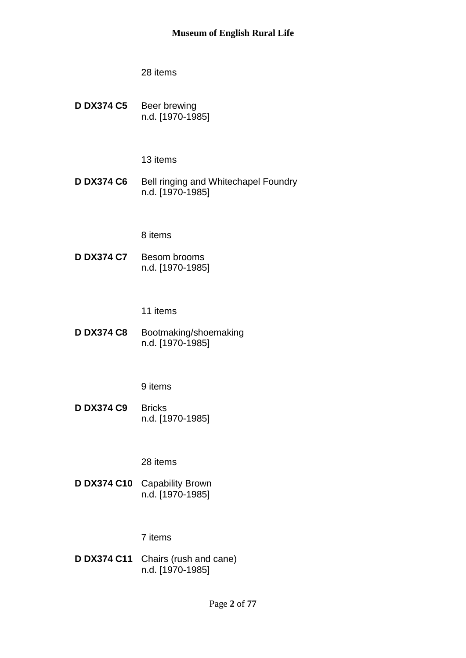**D DX374 C5** Beer brewing n.d. [1970-1985]

13 items

**D DX374 C6** Bell ringing and Whitechapel Foundry n.d. [1970-1985]

8 items

**D DX374 C7** Besom brooms n.d. [1970-1985]

11 items

**D DX374 C8** Bootmaking/shoemaking n.d. [1970-1985]

9 items

**D DX374 C9** Bricks n.d. [1970-1985]

28 items

**D DX374 C10** Capability Brown n.d. [1970-1985]

# 7 items

**D DX374 C11** Chairs (rush and cane) n.d. [1970-1985]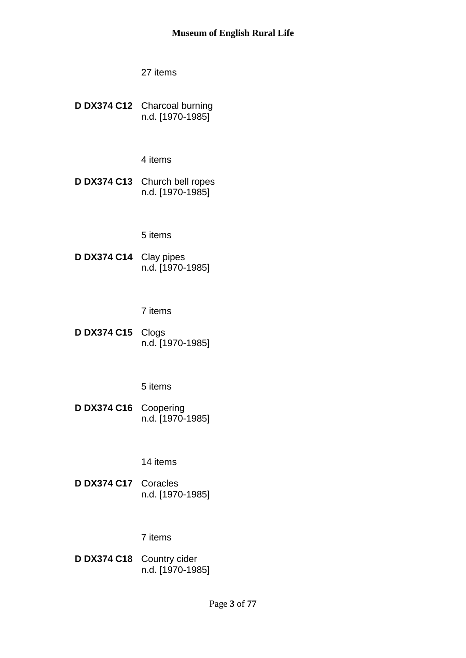**D DX374 C12** Charcoal burning n.d. [1970-1985]

4 items

**D DX374 C13** Church bell ropes n.d. [1970-1985]

5 items

**D DX374 C14** Clay pipes n.d. [1970-1985]

7 items

**D DX374 C15** Clogs n.d. [1970-1985]

5 items

**D DX374 C16** Coopering n.d. [1970-1985]

14 items

**D DX374 C17** Coracles n.d. [1970-1985]

# 7 items

**D DX374 C18** Country cider n.d. [1970-1985]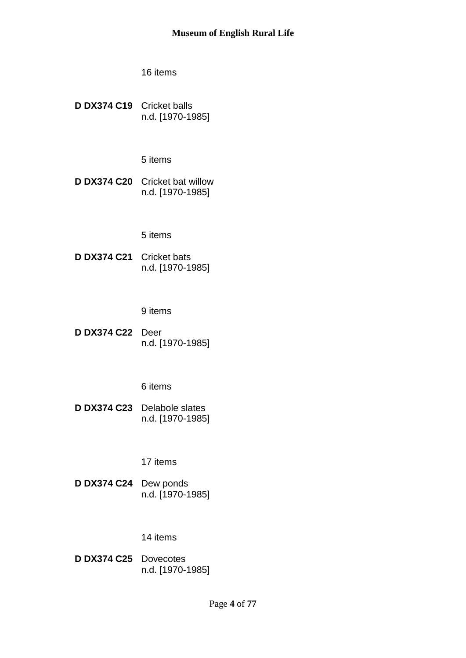**D DX374 C19** Cricket balls n.d. [1970-1985]

5 items

**D DX374 C20** Cricket bat willow n.d. [1970-1985]

5 items

**D DX374 C21** Cricket bats n.d. [1970-1985]

9 items

**D DX374 C22** Deer n.d. [1970-1985]

6 items

**D DX374 C23** Delabole slates n.d. [1970-1985]

17 items

**D DX374 C24** Dew ponds n.d. [1970-1985]

14 items

**D DX374 C25** Dovecotes n.d. [1970-1985]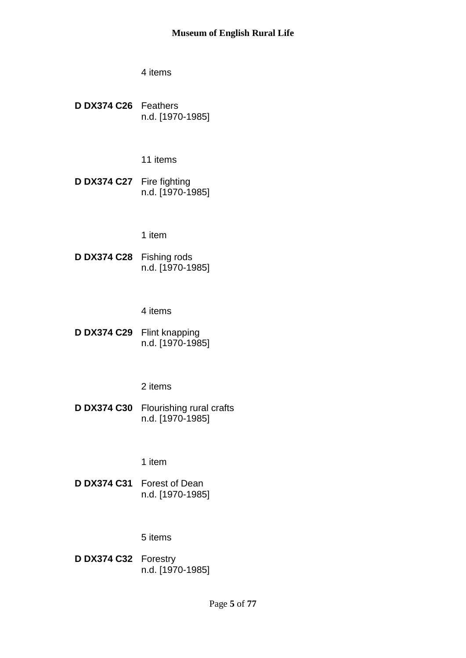**D DX374 C26** Feathers n.d. [1970-1985]

11 items

**D DX374 C27** Fire fighting n.d. [1970-1985]

1 item

**D DX374 C28** Fishing rods n.d. [1970-1985]

4 items

**D DX374 C29** Flint knapping n.d. [1970-1985]

2 items

**D DX374 C30** Flourishing rural crafts n.d. [1970-1985]

1 item

**D DX374 C31** Forest of Dean n.d. [1970-1985]

# 5 items

**D DX374 C32** Forestry n.d. [1970-1985]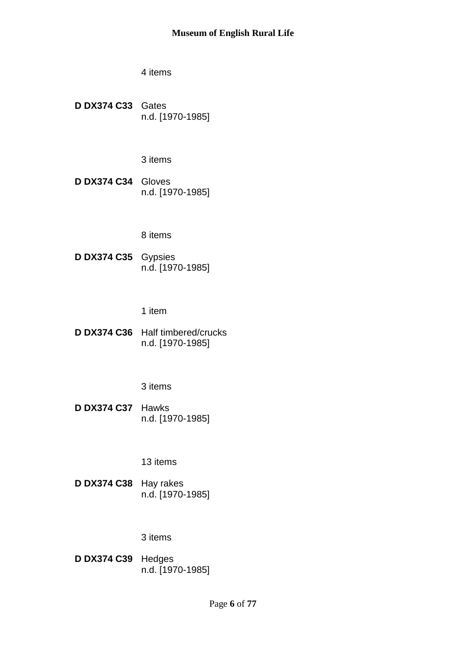4 items

**D DX374 C33** Gates n.d. [1970-1985]

3 items

**D DX374 C34** Gloves n.d. [1970-1985]

8 items

**D DX374 C35** Gypsies n.d. [1970-1985]

1 item

**D DX374 C36** Half timbered/crucks n.d. [1970-1985]

### 3 items

**D DX374 C37** Hawks n.d. [1970-1985]

13 items

**D DX374 C38** Hay rakes n.d. [1970-1985]

### 3 items

**D DX374 C39** Hedges n.d. [1970-1985]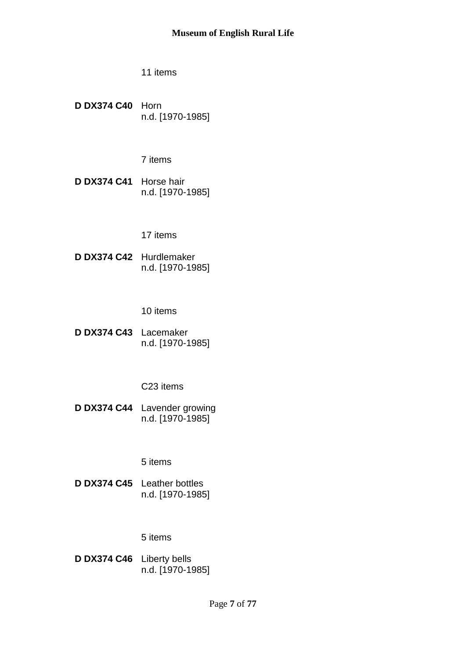**D DX374 C40** Horn n.d. [1970-1985]

7 items

**D DX374 C41** Horse hair n.d. [1970-1985]

17 items

**D DX374 C42** Hurdlemaker n.d. [1970-1985]

10 items

**D DX374 C43** Lacemaker n.d. [1970-1985]

C23 items

**D DX374 C44** Lavender growing n.d. [1970-1985]

5 items

**D DX374 C45** Leather bottles n.d. [1970-1985]

# 5 items

**D DX374 C46** Liberty bells n.d. [1970-1985]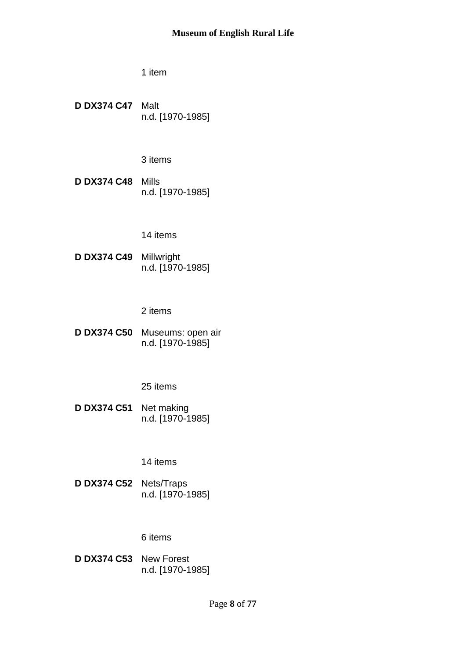1 item

**D DX374 C47** Malt n.d. [1970-1985]

3 items

**D DX374 C48** Mills n.d. [1970-1985]

#### 14 items

**D DX374 C49** Millwright n.d. [1970-1985]

2 items

**D DX374 C50** Museums: open air n.d. [1970-1985]

### 25 items

**D DX374 C51** Net making n.d. [1970-1985]

### 14 items

**D DX374 C52** Nets/Traps n.d. [1970-1985]

#### 6 items

**D DX374 C53** New Forest n.d. [1970-1985]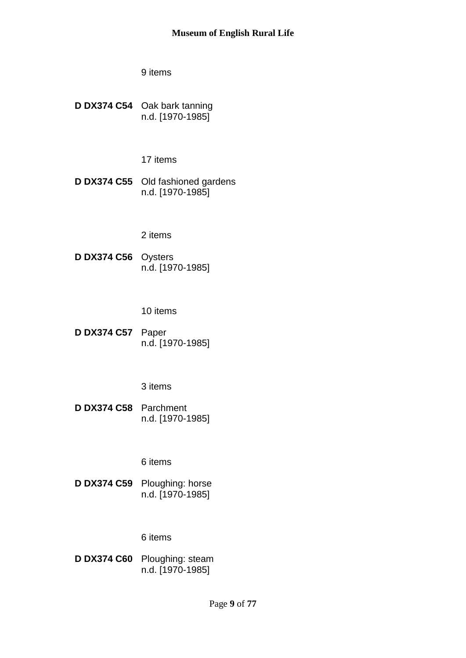**D DX374 C54** Oak bark tanning n.d. [1970-1985]

17 items

**D DX374 C55** Old fashioned gardens n.d. [1970-1985]

## 2 items

**D DX374 C56** Oysters n.d. [1970-1985]

10 items

**D DX374 C57** Paper n.d. [1970-1985]

3 items

**D DX374 C58** Parchment n.d. [1970-1985]

6 items

**D DX374 C59** Ploughing: horse n.d. [1970-1985]

### 6 items

**D DX374 C60** Ploughing: steam n.d. [1970-1985]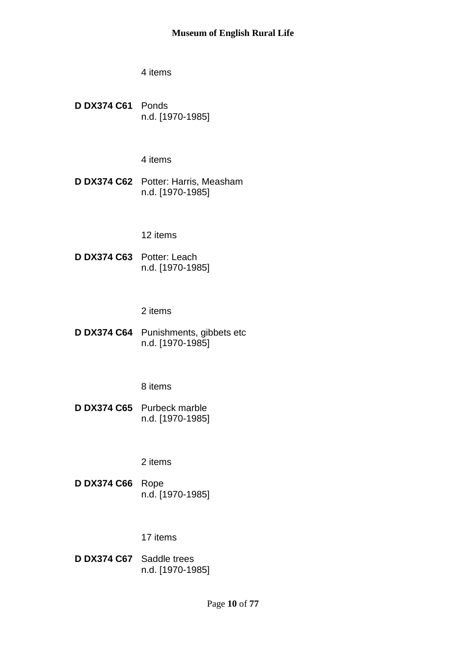4 items

**D DX374 C61** Ponds n.d. [1970-1985]

4 items

**D DX374 C62** Potter: Harris, Measham n.d. [1970-1985]

12 items

**D DX374 C63** Potter: Leach n.d. [1970-1985]

2 items

**D DX374 C64** Punishments, gibbets etc n.d. [1970-1985]

8 items

**D DX374 C65** Purbeck marble n.d. [1970-1985]

2 items

**D DX374 C66** Rope n.d. [1970-1985]

17 items

**D DX374 C67** Saddle trees n.d. [1970-1985]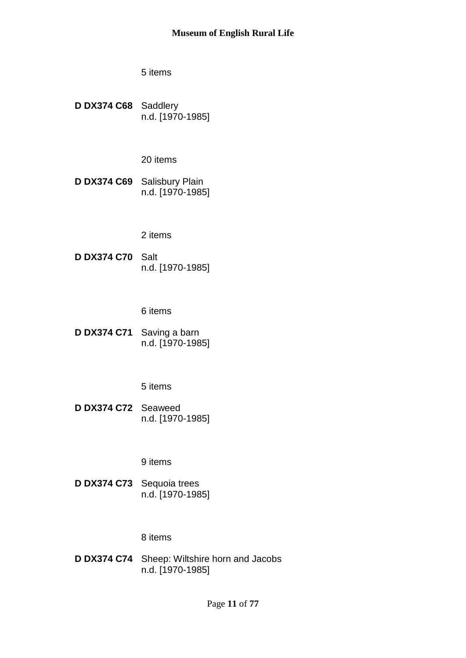5 items

**D DX374 C68** Saddlery n.d. [1970-1985]

20 items

**D DX374 C69** Salisbury Plain n.d. [1970-1985]

2 items

**D DX374 C70** Salt n.d. [1970-1985]

6 items

**D DX374 C71** Saving a barn n.d. [1970-1985]

5 items

**D DX374 C72** Seaweed n.d. [1970-1985]

9 items

**D DX374 C73** Sequoia trees n.d. [1970-1985]

#### 8 items

**D DX374 C74** Sheep: Wiltshire horn and Jacobs n.d. [1970-1985]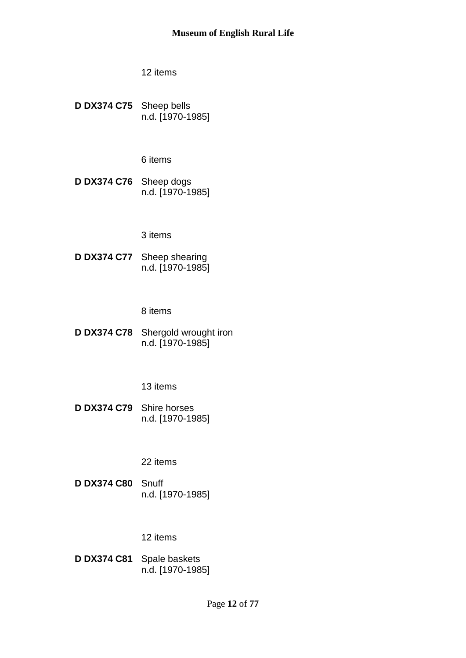**D DX374 C75** Sheep bells n.d. [1970-1985]

6 items

**D DX374 C76** Sheep dogs n.d. [1970-1985]

3 items

**D DX374 C77** Sheep shearing n.d. [1970-1985]

8 items

**D DX374 C78** Shergold wrought iron n.d. [1970-1985]

13 items

**D DX374 C79** Shire horses n.d. [1970-1985]

22 items

**D DX374 C80** Snuff n.d. [1970-1985]

### 12 items

**D DX374 C81** Spale baskets n.d. [1970-1985]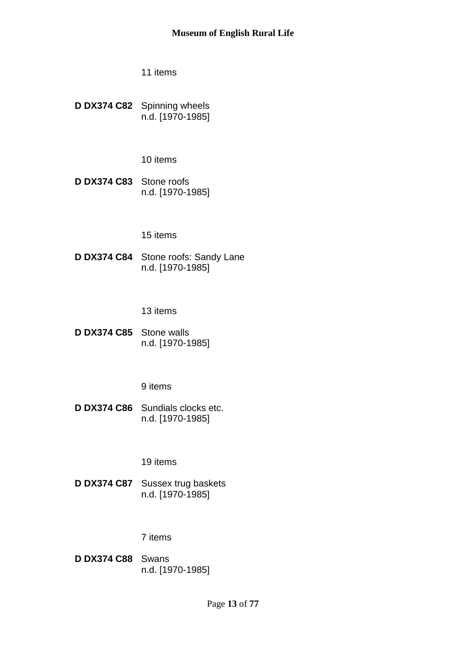**D DX374 C82** Spinning wheels n.d. [1970-1985]

10 items

**D DX374 C83** Stone roofs n.d. [1970-1985]

## 15 items

**D DX374 C84** Stone roofs: Sandy Lane n.d. [1970-1985]

13 items

**D DX374 C85** Stone walls n.d. [1970-1985]

9 items

**D DX374 C86** Sundials clocks etc. n.d. [1970-1985]

19 items

**D DX374 C87** Sussex trug baskets n.d. [1970-1985]

### 7 items

**D DX374 C88** Swans n.d. [1970-1985]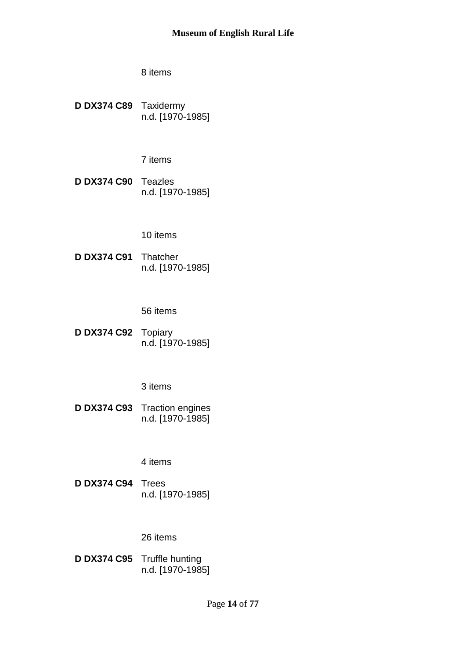**D DX374 C89** Taxidermy n.d. [1970-1985]

7 items

**D DX374 C90** Teazles n.d. [1970-1985]

## 10 items

**D DX374 C91** Thatcher n.d. [1970-1985]

56 items

**D DX374 C92** Topiary n.d. [1970-1985]

3 items

**D DX374 C93** Traction engines n.d. [1970-1985]

4 items

**D DX374 C94** Trees n.d. [1970-1985]

### 26 items

**D DX374 C95** Truffle hunting n.d. [1970-1985]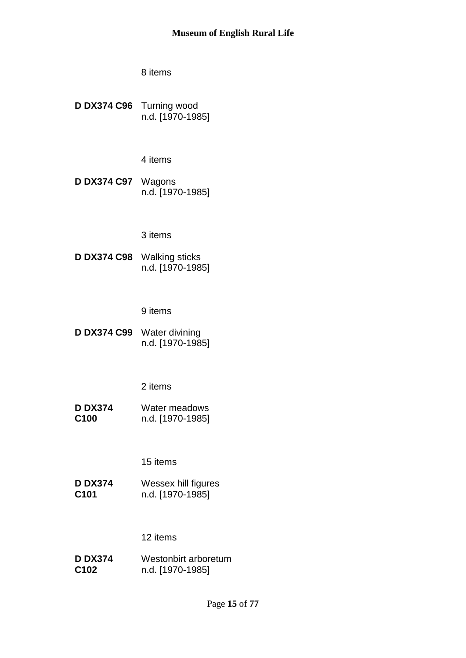**D DX374 C96** Turning wood n.d. [1970-1985]

4 items

**D DX374 C97** Wagons n.d. [1970-1985]

### 3 items

**D DX374 C98** Walking sticks n.d. [1970-1985]

9 items

**D DX374 C99** Water divining n.d. [1970-1985]

# 2 items

**D DX374 C100** Water meadows n.d. [1970-1985]

15 items

**D DX374 C101** Wessex hill figures n.d. [1970-1985]

# 12 items

**D DX374 C102** Westonbirt arboretum n.d. [1970-1985]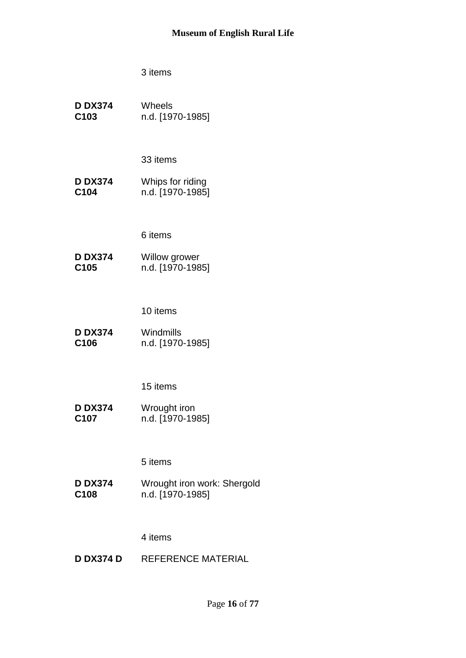**D DX374 C103** Wheels n.d. [1970-1985]

33 items

**D DX374 C104** Whips for riding n.d. [1970-1985]

6 items

**D DX374 C105** Willow grower n.d. [1970-1985]

10 items

**D DX374 C106** Windmills n.d. [1970-1985]

15 items

**D DX374 C107** Wrought iron n.d. [1970-1985]

5 items

**D DX374 C108** Wrought iron work: Shergold n.d. [1970-1985]

4 items

**D DX374 D** REFERENCE MATERIAL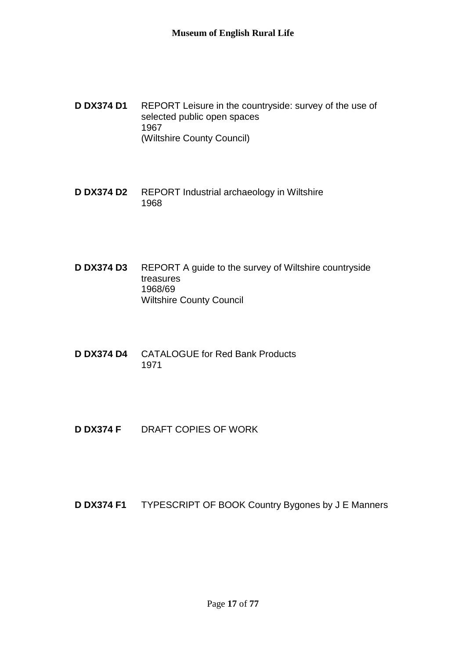- **D DX374 D1** REPORT Leisure in the countryside: survey of the use of selected public open spaces 1967 (Wiltshire County Council)
- **D DX374 D2** REPORT Industrial archaeology in Wiltshire 1968
- **D DX374 D3** REPORT A guide to the survey of Wiltshire countryside treasures 1968/69 Wiltshire County Council
- **D DX374 D4** CATALOGUE for Red Bank Products 1971
- **D DX374 F** DRAFT COPIES OF WORK

**D DX374 F1** TYPESCRIPT OF BOOK Country Bygones by J E Manners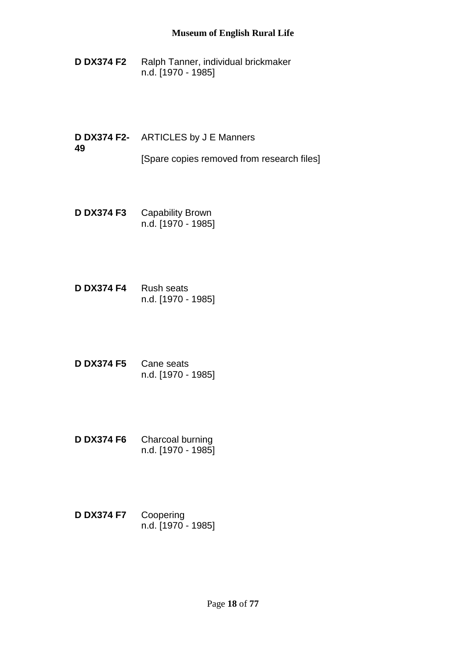- **D DX374 F2** Ralph Tanner, individual brickmaker n.d. [1970 - 1985]
- **D DX374 F2-** ARTICLES by J E Manners **49** [Spare copies removed from research files]
- **D DX374 F3** Capability Brown n.d. [1970 - 1985]
- **D DX374 F4** Rush seats n.d. [1970 - 1985]
- **D DX374 F5** Cane seats n.d. [1970 - 1985]
- **D DX374 F6** Charcoal burning n.d. [1970 - 1985]
- **D DX374 F7** Coopering n.d. [1970 - 1985]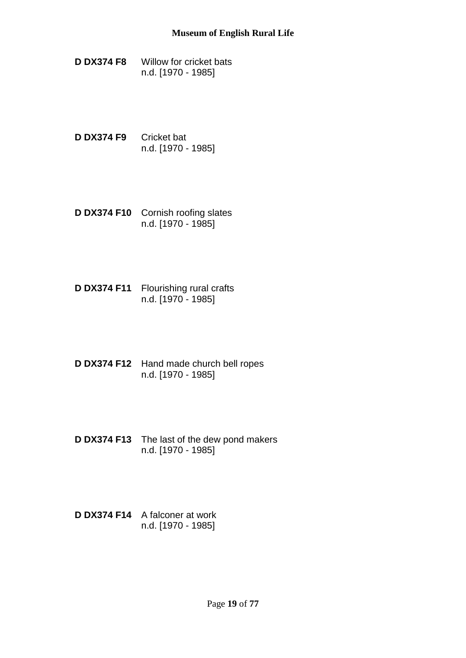- **D DX374 F8** Willow for cricket bats n.d. [1970 - 1985]
- **D DX374 F9** Cricket bat n.d. [1970 - 1985]
- **D DX374 F10** Cornish roofing slates n.d. [1970 - 1985]
- **D DX374 F11** Flourishing rural crafts n.d. [1970 - 1985]
- **D DX374 F12** Hand made church bell ropes n.d. [1970 - 1985]
- **D DX374 F13** The last of the dew pond makers n.d. [1970 - 1985]
- **D DX374 F14** A falconer at work n.d. [1970 - 1985]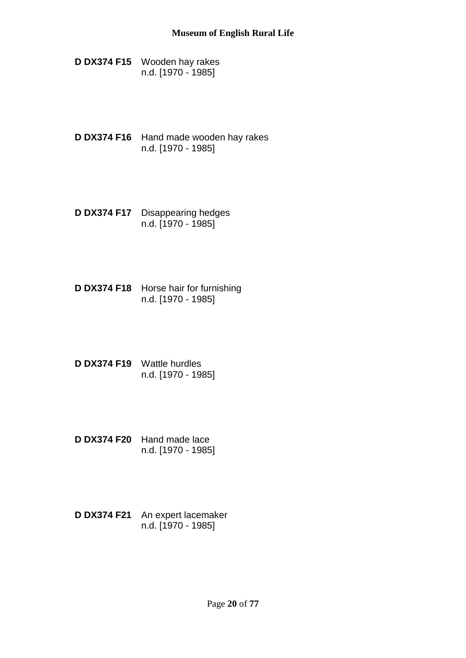- **D DX374 F15** Wooden hay rakes n.d. [1970 - 1985]
- **D DX374 F16** Hand made wooden hay rakes n.d. [1970 - 1985]
- **D DX374 F17** Disappearing hedges n.d. [1970 - 1985]
- **D DX374 F18** Horse hair for furnishing n.d. [1970 - 1985]
- **D DX374 F19** Wattle hurdles n.d. [1970 - 1985]
- **D DX374 F20** Hand made lace n.d. [1970 - 1985]
- **D DX374 F21** An expert lacemaker n.d. [1970 - 1985]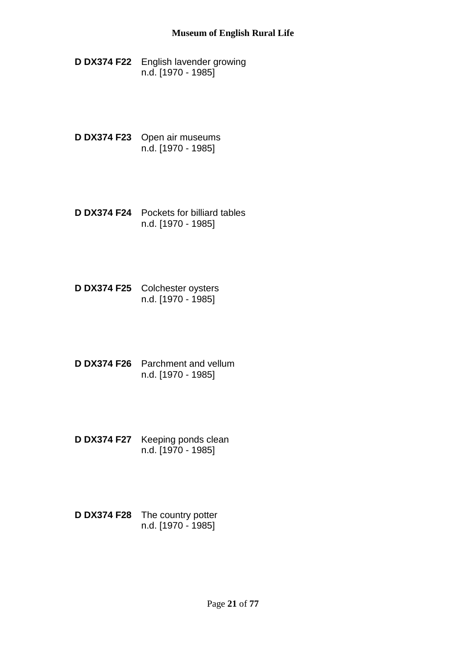**D DX374 F22** English lavender growing n.d. [1970 - 1985]

- **D DX374 F23** Open air museums n.d. [1970 - 1985]
- **D DX374 F24** Pockets for billiard tables n.d. [1970 - 1985]
- **D DX374 F25** Colchester oysters n.d. [1970 - 1985]
- **D DX374 F26** Parchment and vellum n.d. [1970 - 1985]
- **D DX374 F27** Keeping ponds clean n.d. [1970 - 1985]
- **D DX374 F28** The country potter n.d. [1970 - 1985]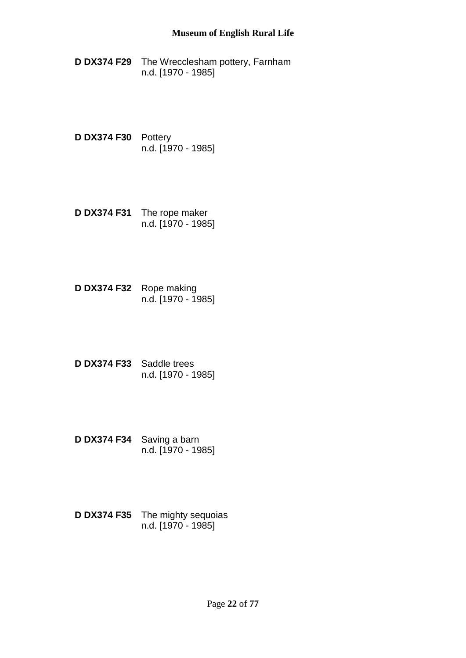- **D DX374 F29** The Wrecclesham pottery, Farnham n.d. [1970 - 1985]
- **D DX374 F30** Pottery n.d. [1970 - 1985]
- **D DX374 F31** The rope maker n.d. [1970 - 1985]
- **D DX374 F32** Rope making n.d. [1970 - 1985]
- **D DX374 F33** Saddle trees n.d. [1970 - 1985]
- **D DX374 F34** Saving a barn n.d. [1970 - 1985]
- **D DX374 F35** The mighty sequoias n.d. [1970 - 1985]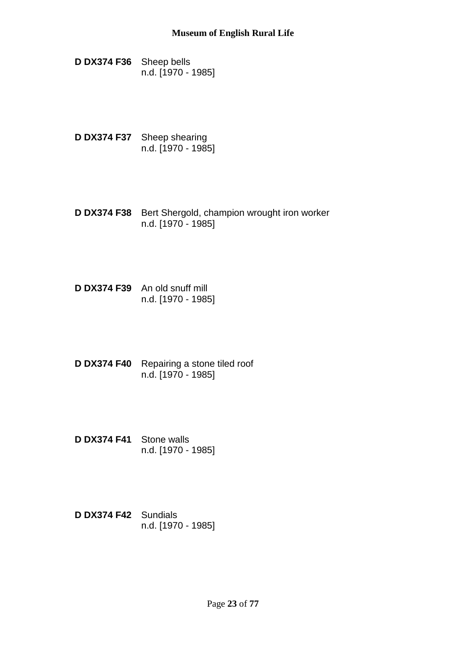**D DX374 F36** Sheep bells n.d. [1970 - 1985]

- **D DX374 F37** Sheep shearing n.d. [1970 - 1985]
- **D DX374 F38** Bert Shergold, champion wrought iron worker n.d. [1970 - 1985]
- **D DX374 F39** An old snuff mill n.d. [1970 - 1985]
- **D DX374 F40** Repairing a stone tiled roof n.d. [1970 - 1985]
- **D DX374 F41** Stone walls n.d. [1970 - 1985]
- **D DX374 F42** Sundials n.d. [1970 - 1985]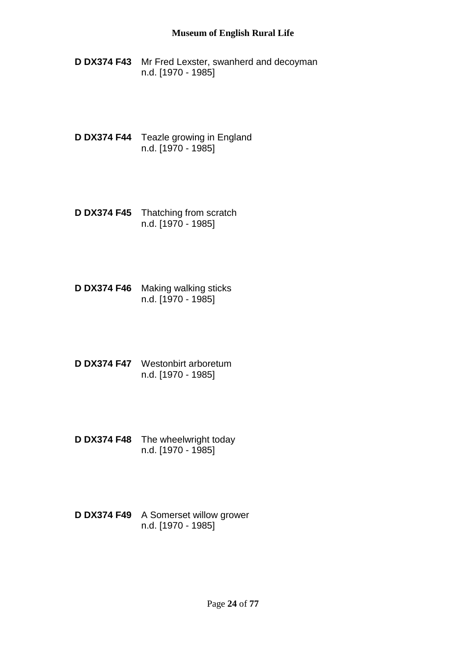- **D DX374 F43** Mr Fred Lexster, swanherd and decoyman n.d. [1970 - 1985]
- **D DX374 F44** Teazle growing in England n.d. [1970 - 1985]
- **D DX374 F45** Thatching from scratch n.d. [1970 - 1985]
- **D DX374 F46** Making walking sticks n.d. [1970 - 1985]
- **D DX374 F47** Westonbirt arboretum n.d. [1970 - 1985]
- **D DX374 F48** The wheelwright today n.d. [1970 - 1985]
- **D DX374 F49** A Somerset willow grower n.d. [1970 - 1985]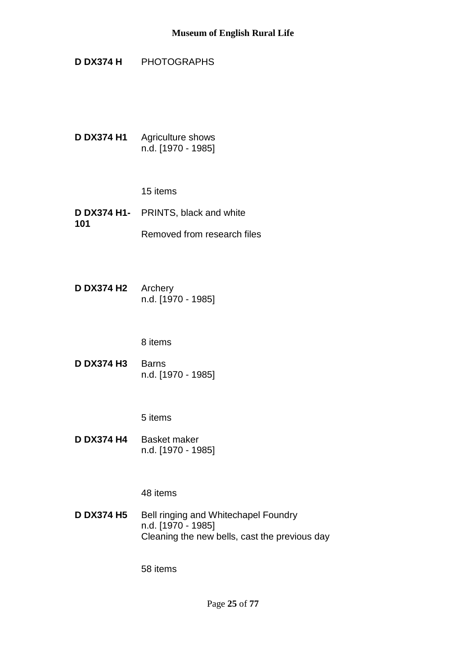**D DX374 H** PHOTOGRAPHS

**D DX374 H1** Agriculture shows n.d. [1970 - 1985]

15 items

- **D DX374 H1-** PRINTS, black and white **101** Removed from research files
- **D DX374 H2** Archery n.d. [1970 - 1985]

8 items

**D DX374 H3** Barns n.d. [1970 - 1985]

5 items

**D DX374 H4** Basket maker n.d. [1970 - 1985]

48 items

**D DX374 H5** Bell ringing and Whitechapel Foundry n.d. [1970 - 1985] Cleaning the new bells, cast the previous day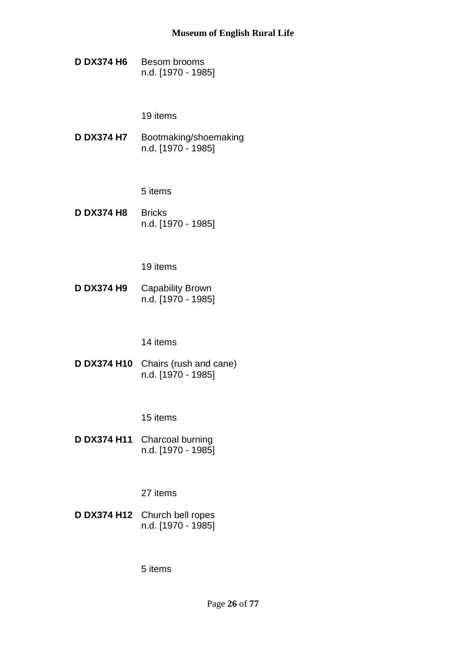**D DX374 H6** Besom brooms n.d. [1970 - 1985]

19 items

**D DX374 H7** Bootmaking/shoemaking n.d. [1970 - 1985]

5 items

**D DX374 H8** Bricks n.d. [1970 - 1985]

19 items

**D DX374 H9** Capability Brown n.d. [1970 - 1985]

14 items

**D DX374 H10** Chairs (rush and cane) n.d. [1970 - 1985]

15 items

**D DX374 H11** Charcoal burning n.d. [1970 - 1985]

27 items

**D DX374 H12** Church bell ropes n.d. [1970 - 1985]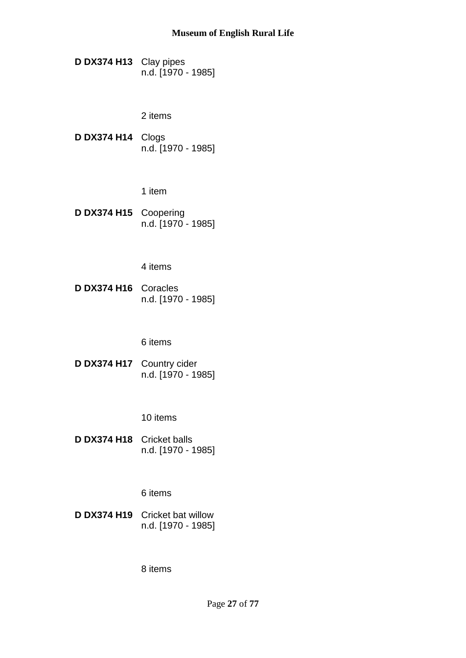**D DX374 H13** Clay pipes n.d. [1970 - 1985]

2 items

**D DX374 H14** Clogs n.d. [1970 - 1985]

1 item

**D DX374 H15** Coopering n.d. [1970 - 1985]

4 items

**D DX374 H16** Coracles n.d. [1970 - 1985]

6 items

**D DX374 H17** Country cider n.d. [1970 - 1985]

10 items

**D DX374 H18** Cricket balls n.d. [1970 - 1985]

6 items

**D DX374 H19** Cricket bat willow n.d. [1970 - 1985]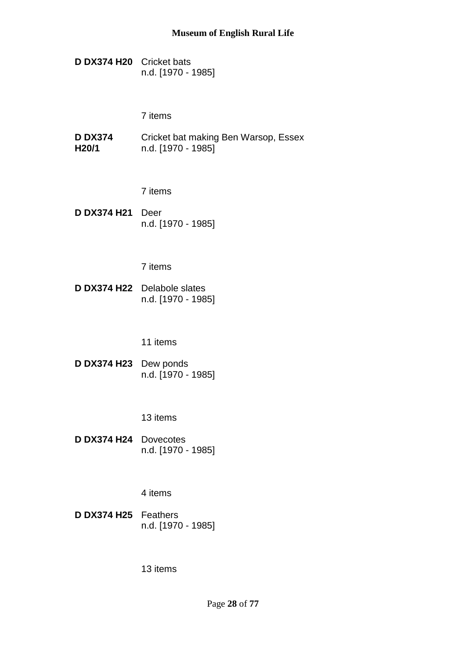**D DX374 H20** Cricket bats n.d. [1970 - 1985]

7 items

**D DX374 H20/1** Cricket bat making Ben Warsop, Essex n.d. [1970 - 1985]

7 items

**D DX374 H21** Deer n.d. [1970 - 1985]

7 items

**D DX374 H22** Delabole slates n.d. [1970 - 1985]

11 items

**D DX374 H23** Dew ponds n.d. [1970 - 1985]

13 items

**D DX374 H24** Dovecotes n.d. [1970 - 1985]

4 items

**D DX374 H25** Feathers n.d. [1970 - 1985]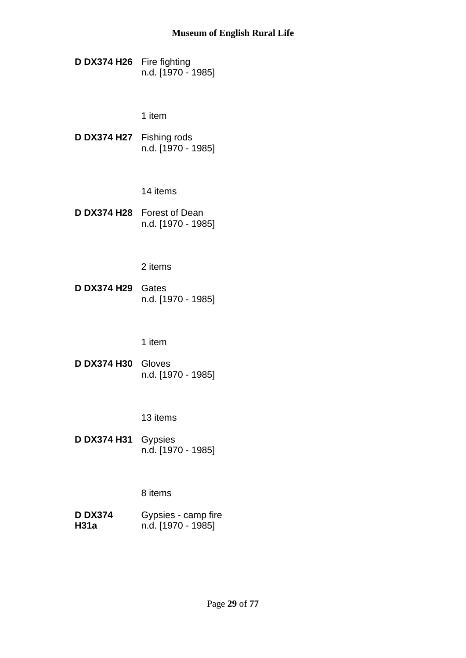**D DX374 H26** Fire fighting n.d. [1970 - 1985]

1 item

**D DX374 H27** Fishing rods n.d. [1970 - 1985]

14 items

**D DX374 H28** Forest of Dean n.d. [1970 - 1985]

2 items

**D DX374 H29** Gates n.d. [1970 - 1985]

1 item

**D DX374 H30** Gloves n.d. [1970 - 1985]

13 items

**D DX374 H31** Gypsies n.d. [1970 - 1985]

8 items

**D DX374 H31a** Gypsies - camp fire n.d. [1970 - 1985]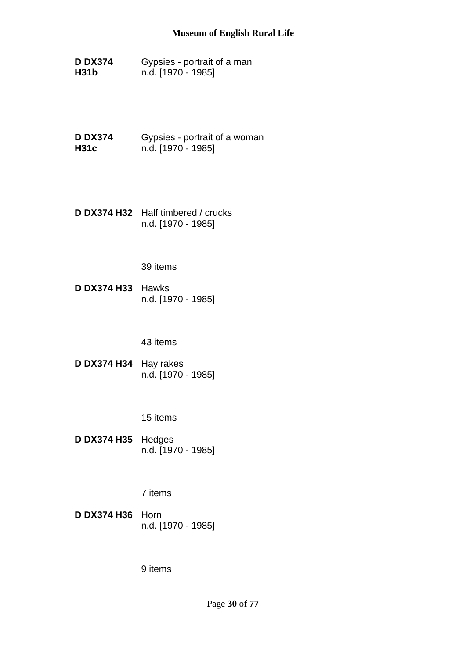- **D DX374 H31b** Gypsies - portrait of a man n.d. [1970 - 1985]
- **D DX374 H31c** Gypsies - portrait of a woman n.d. [1970 - 1985]
- **D DX374 H32** Half timbered / crucks n.d. [1970 - 1985]

**D DX374 H33** Hawks n.d. [1970 - 1985]

#### 43 items

**D DX374 H34** Hay rakes n.d. [1970 - 1985]

### 15 items

**D DX374 H35** Hedges n.d. [1970 - 1985]

## 7 items

**D DX374 H36** Horn n.d. [1970 - 1985]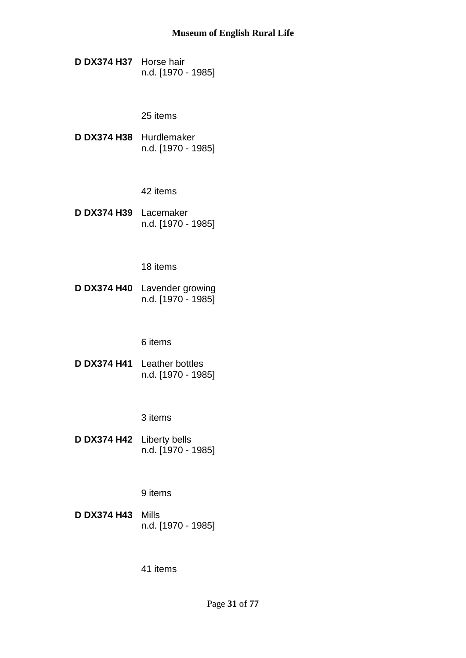**D DX374 H37** Horse hair n.d. [1970 - 1985]

# 25 items

**D DX374 H38** Hurdlemaker n.d. [1970 - 1985]

42 items

**D DX374 H39** Lacemaker n.d. [1970 - 1985]

18 items

**D DX374 H40** Lavender growing n.d. [1970 - 1985]

6 items

**D DX374 H41** Leather bottles n.d. [1970 - 1985]

3 items

**D DX374 H42** Liberty bells n.d. [1970 - 1985]

9 items

**D DX374 H43** Mills n.d. [1970 - 1985]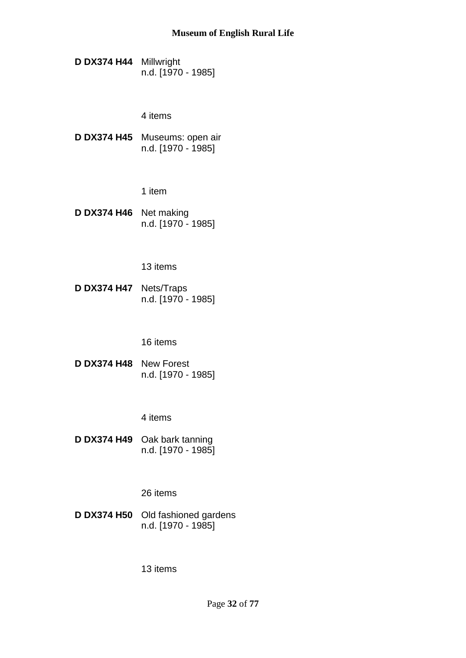**D DX374 H44** Millwright n.d. [1970 - 1985]

4 items

**D DX374 H45** Museums: open air n.d. [1970 - 1985]

1 item

**D DX374 H46** Net making n.d. [1970 - 1985]

13 items

**D DX374 H47** Nets/Traps n.d. [1970 - 1985]

16 items

**D DX374 H48** New Forest n.d. [1970 - 1985]

4 items

**D DX374 H49** Oak bark tanning n.d. [1970 - 1985]

26 items

**D DX374 H50** Old fashioned gardens n.d. [1970 - 1985]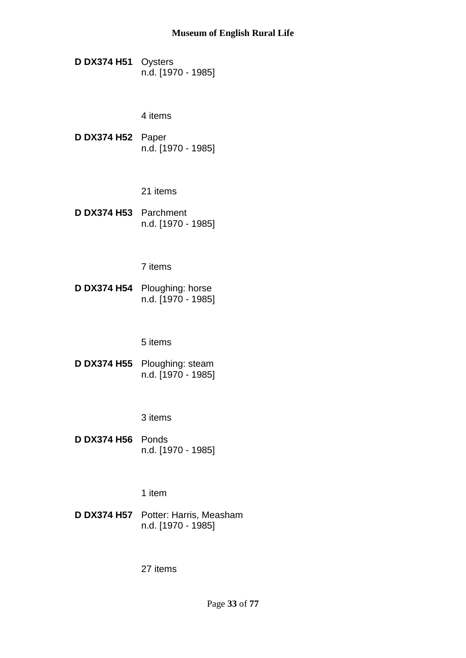**D DX374 H51** Oysters n.d. [1970 - 1985]

4 items

**D DX374 H52** Paper n.d. [1970 - 1985]

21 items

**D DX374 H53** Parchment n.d. [1970 - 1985]

7 items

**D DX374 H54** Ploughing: horse n.d. [1970 - 1985]

5 items

**D DX374 H55** Ploughing: steam n.d. [1970 - 1985]

3 items

**D DX374 H56** Ponds n.d. [1970 - 1985]

1 item

**D DX374 H57** Potter: Harris, Measham n.d. [1970 - 1985]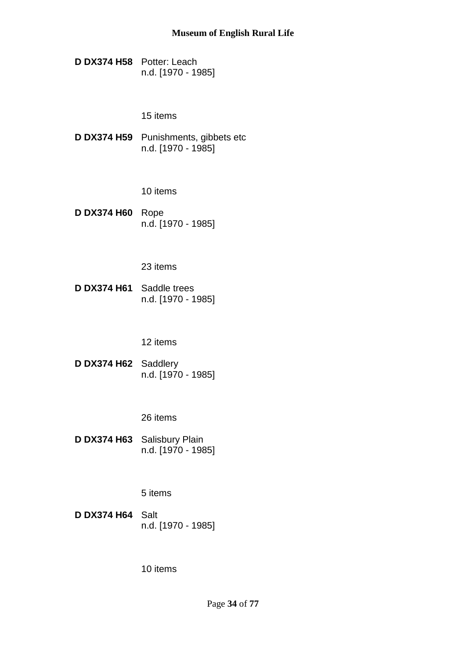**D DX374 H58** Potter: Leach n.d. [1970 - 1985]

15 items

**D DX374 H59** Punishments, gibbets etc n.d. [1970 - 1985]

10 items

**D DX374 H60** Rope n.d. [1970 - 1985]

23 items

**D DX374 H61** Saddle trees n.d. [1970 - 1985]

12 items

**D DX374 H62** Saddlery n.d. [1970 - 1985]

26 items

**D DX374 H63** Salisbury Plain n.d. [1970 - 1985]

5 items

**D DX374 H64** Salt n.d. [1970 - 1985]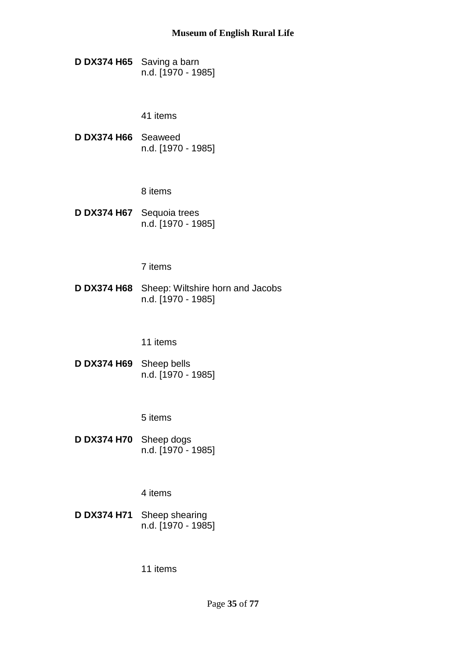**D DX374 H65** Saving a barn n.d. [1970 - 1985]

41 items

**D DX374 H66** Seaweed n.d. [1970 - 1985]

8 items

**D DX374 H67** Sequoia trees n.d. [1970 - 1985]

7 items

**D DX374 H68** Sheep: Wiltshire horn and Jacobs n.d. [1970 - 1985]

11 items

**D DX374 H69** Sheep bells n.d. [1970 - 1985]

5 items

**D DX374 H70** Sheep dogs n.d. [1970 - 1985]

4 items

**D DX374 H71** Sheep shearing n.d. [1970 - 1985]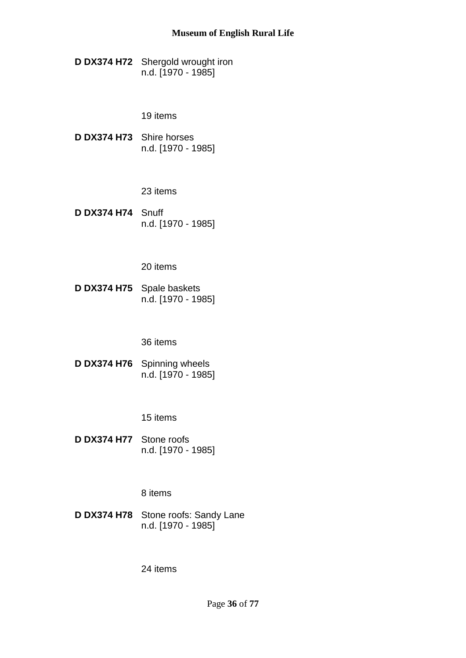**D DX374 H72** Shergold wrought iron n.d. [1970 - 1985]

19 items

**D DX374 H73** Shire horses n.d. [1970 - 1985]

23 items

**D DX374 H74** Snuff n.d. [1970 - 1985]

20 items

**D DX374 H75** Spale baskets n.d. [1970 - 1985]

36 items

**D DX374 H76** Spinning wheels n.d. [1970 - 1985]

15 items

**D DX374 H77** Stone roofs n.d. [1970 - 1985]

8 items

**D DX374 H78** Stone roofs: Sandy Lane n.d. [1970 - 1985]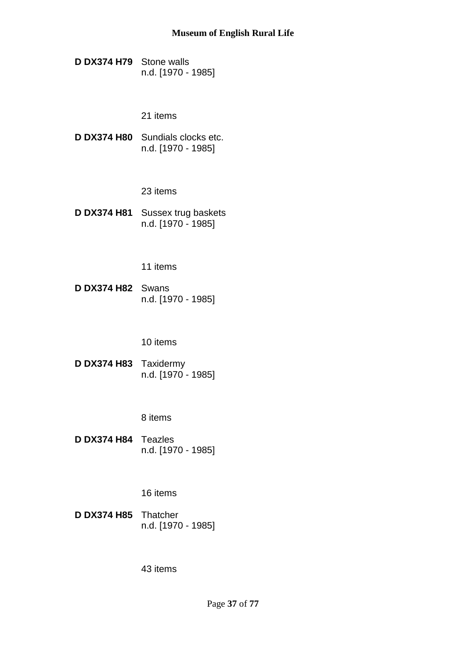**D DX374 H79** Stone walls n.d. [1970 - 1985]

21 items

**D DX374 H80** Sundials clocks etc. n.d. [1970 - 1985]

23 items

**D DX374 H81** Sussex trug baskets n.d. [1970 - 1985]

11 items

**D DX374 H82** Swans n.d. [1970 - 1985]

10 items

**D DX374 H83** Taxidermy n.d. [1970 - 1985]

8 items

**D DX374 H84** Teazles n.d. [1970 - 1985]

16 items

**D DX374 H85** Thatcher n.d. [1970 - 1985]

43 items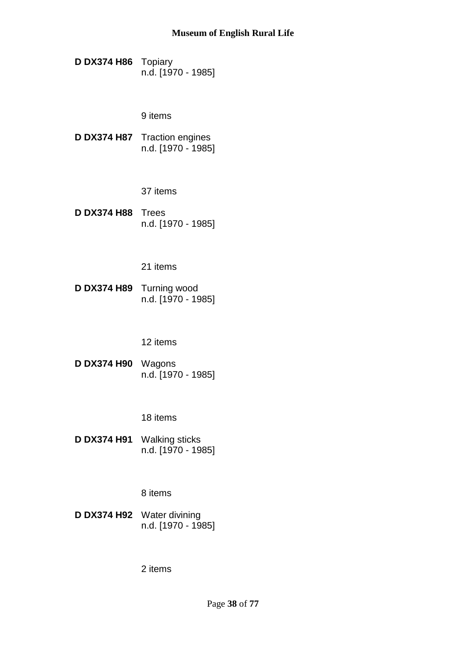**D DX374 H86** Topiary n.d. [1970 - 1985]

9 items

**D DX374 H87** Traction engines n.d. [1970 - 1985]

37 items

**D DX374 H88** Trees n.d. [1970 - 1985]

21 items

**D DX374 H89** Turning wood n.d. [1970 - 1985]

12 items

**D DX374 H90** Wagons n.d. [1970 - 1985]

18 items

**D DX374 H91** Walking sticks n.d. [1970 - 1985]

8 items

**D DX374 H92** Water divining n.d. [1970 - 1985]

2 items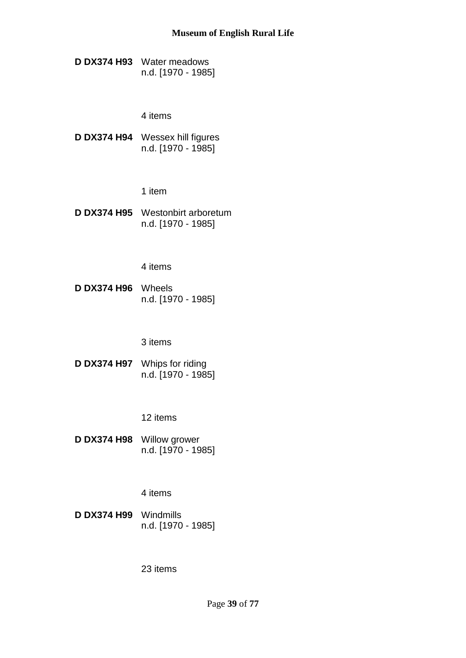**D DX374 H93** Water meadows n.d. [1970 - 1985]

4 items

**D DX374 H94** Wessex hill figures n.d. [1970 - 1985]

1 item

**D DX374 H95** Westonbirt arboretum n.d. [1970 - 1985]

4 items

**D DX374 H96** Wheels n.d. [1970 - 1985]

#### 3 items

**D DX374 H97** Whips for riding n.d. [1970 - 1985]

12 items

**D DX374 H98** Willow grower n.d. [1970 - 1985]

4 items

**D DX374 H99** Windmills n.d. [1970 - 1985]

23 items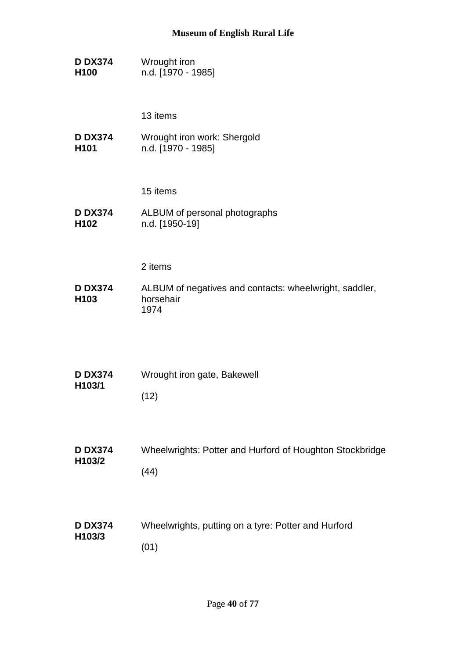**D DX374 H100** Wrought iron n.d. [1970 - 1985]

13 items

**D DX374 H101** Wrought iron work: Shergold n.d. [1970 - 1985]

15 items

**D DX374 H102** ALBUM of personal photographs n.d. [1950-19]

2 items

**D DX374 H103** ALBUM of negatives and contacts: wheelwright, saddler, horsehair 1974

| <b>D DX374</b><br>H103/1 | Wrought iron gate, Bakewell |
|--------------------------|-----------------------------|
|                          | (12)                        |

- **D DX374 H103/2** Wheelwrights: Potter and Hurford of Houghton Stockbridge (44)
- **D DX374 H103/3** Wheelwrights, putting on a tyre: Potter and Hurford (01)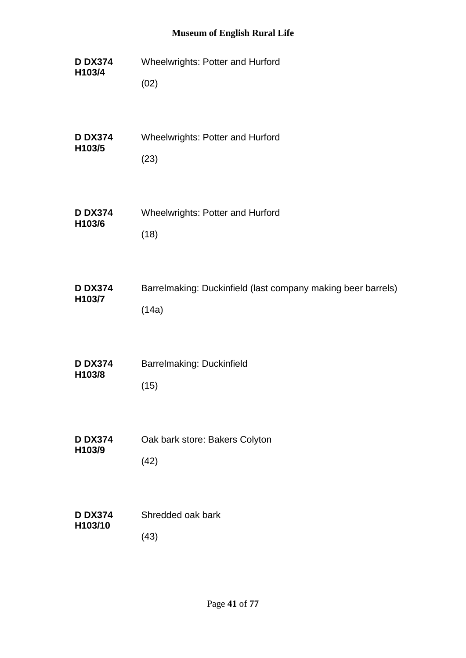**D DX374 H103/4** Wheelwrights: Potter and Hurford (02) **D DX374 H103/5** Wheelwrights: Potter and Hurford (23) **D DX374 H103/6** Wheelwrights: Potter and Hurford (18) **D DX374 H103/7** Barrelmaking: Duckinfield (last company making beer barrels) (14a) **D DX374 H103/8** Barrelmaking: Duckinfield (15) **D DX374 H103/9** Oak bark store: Bakers Colyton (42) **D DX374 H103/10** Shredded oak bark (43)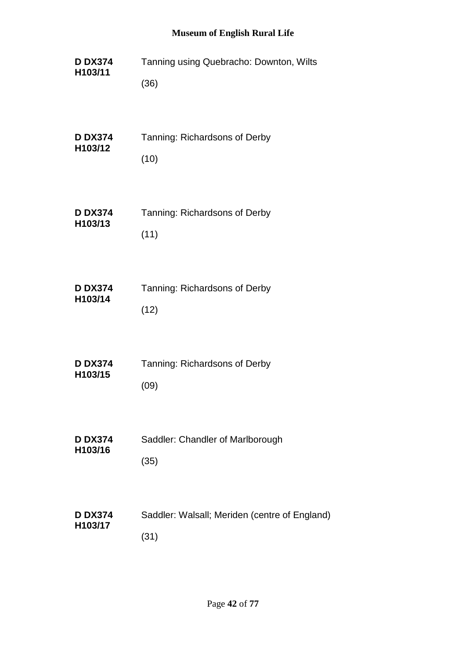| <b>D DX374</b> | Tanning using Quebracho: Downton, Wilts       |
|----------------|-----------------------------------------------|
| H103/11        | (36)                                          |
| <b>D DX374</b> | Tanning: Richardsons of Derby                 |
| H103/12        | (10)                                          |
| <b>D DX374</b> | Tanning: Richardsons of Derby                 |
| H103/13        | (11)                                          |
| <b>D DX374</b> | Tanning: Richardsons of Derby                 |
| H103/14        | (12)                                          |
| <b>D DX374</b> | Tanning: Richardsons of Derby                 |
| H103/15        | (09)                                          |
| <b>D DX374</b> | Saddler: Chandler of Marlborough              |
| H103/16        | (35)                                          |
| <b>D DX374</b> | Saddler: Walsall; Meriden (centre of England) |
| H103/17        | (31)                                          |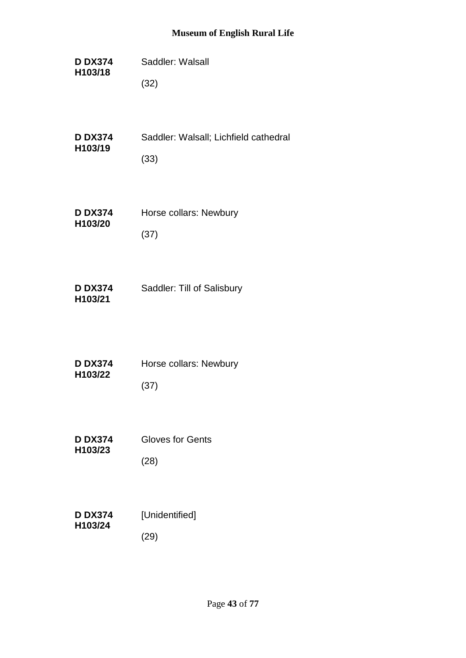- **D DX374 H103/18** Saddler: Walsall (32)
- **D DX374 H103/19** Saddler: Walsall; Lichfield cathedral (33)
- **D DX374 H103/20** Horse collars: Newbury (37)
- **D DX374 H103/21** Saddler: Till of Salisbury

| <b>D DX374</b> | Horse collars: Newbury |
|----------------|------------------------|
| H103/22        |                        |
|                | (37)                   |

**D DX374 H103/23** Gloves for Gents (28)

| <b>D DX374</b><br>H103/24 | [Unidentified] |
|---------------------------|----------------|
|                           | (29)           |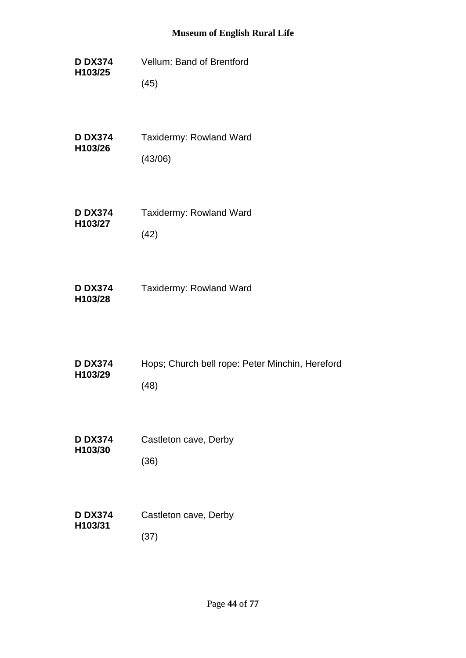**D DX374 H103/25** Vellum: Band of Brentford (45)

**D DX374 H103/26** Taxidermy: Rowland Ward (43/06)

**D DX374 H103/27** Taxidermy: Rowland Ward (42)

**D DX374 H103/28** Taxidermy: Rowland Ward

| <b>D DX374</b><br>H103/29 | Hops; Church bell rope: Peter Minchin, Hereford |
|---------------------------|-------------------------------------------------|
|                           | (48)                                            |

- **D DX374 H103/30** Castleton cave, Derby (36)
- **D DX374 H103/31** Castleton cave, Derby (37)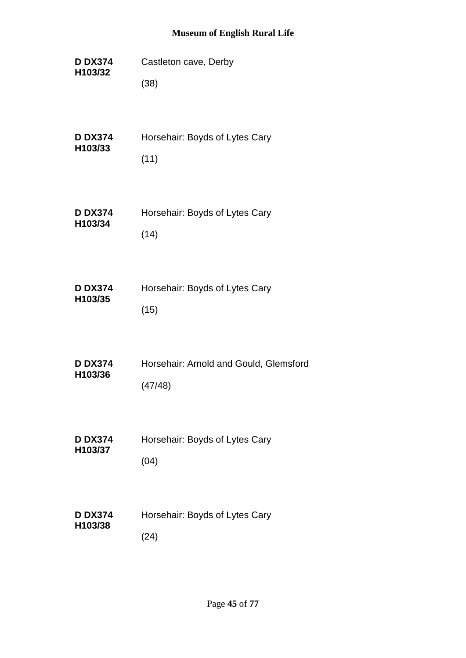- **D DX374 H103/32** Castleton cave, Derby (38)
- **D DX374 H103/33** Horsehair: Boyds of Lytes Cary (11)
- **D DX374 H103/34** Horsehair: Boyds of Lytes Cary (14)
- **D DX374 H103/35** Horsehair: Boyds of Lytes Cary (15)
- **D DX374 H103/36** Horsehair: Arnold and Gould, Glemsford (47/48)
- **D DX374 H103/37** Horsehair: Boyds of Lytes Cary (04)
- **D DX374 H103/38** Horsehair: Boyds of Lytes Cary (24)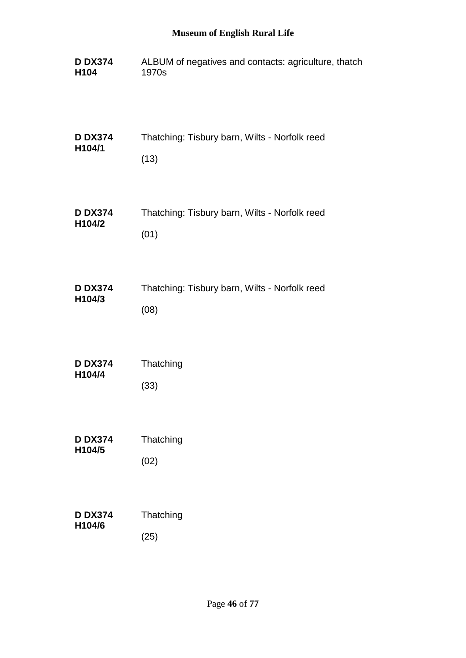| <b>D DX374</b>   | ALBUM of negatives and contacts: agriculture, thatch |
|------------------|------------------------------------------------------|
| H <sub>104</sub> | 1970s                                                |
| <b>D DX374</b>   | Thatching: Tisbury barn, Wilts - Norfolk reed        |
| H104/1           | (13)                                                 |
| <b>D DX374</b>   | Thatching: Tisbury barn, Wilts - Norfolk reed        |
| H104/2           | (01)                                                 |
| <b>D DX374</b>   | Thatching: Tisbury barn, Wilts - Norfolk reed        |
| H104/3           | (08)                                                 |

| <b>D DX374</b>      | Thatching |
|---------------------|-----------|
| H <sub>104</sub> /4 |           |
|                     | (33)      |

| <b>D DX374</b><br>H <sub>104</sub> /5 | Thatching |
|---------------------------------------|-----------|
|                                       | (02)      |

| <b>D DX374</b><br>H104/6 | Thatching |
|--------------------------|-----------|
|                          | (25)      |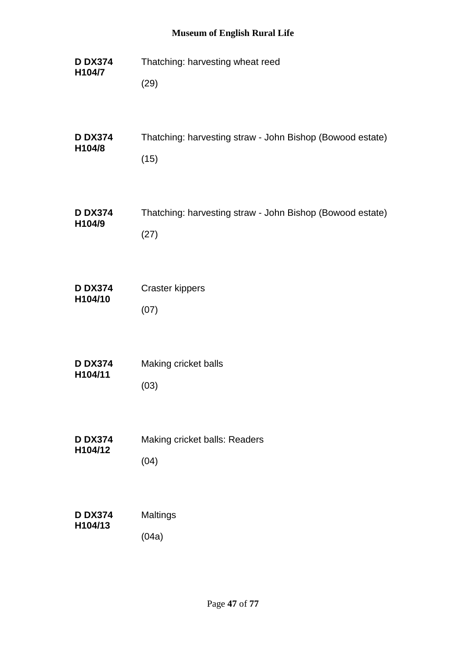| <b>D DX374</b> | Thatching: harvesting wheat reed                          |
|----------------|-----------------------------------------------------------|
| H104/7         | (29)                                                      |
| <b>D DX374</b> | Thatching: harvesting straw - John Bishop (Bowood estate) |
| H104/8         | (15)                                                      |
| <b>D DX374</b> | Thatching: harvesting straw - John Bishop (Bowood estate) |
| H104/9         | (27)                                                      |
| <b>D DX374</b> | <b>Craster kippers</b>                                    |
| H104/10        | (07)                                                      |
| <b>D DX374</b> | Making cricket balls                                      |
| H104/11        | (03)                                                      |
| <b>D DX374</b> | Making cricket balls: Readers                             |
| H104/12        | (04)                                                      |
| <b>D DX374</b> | Maltings                                                  |
| H104/13        | (04a)                                                     |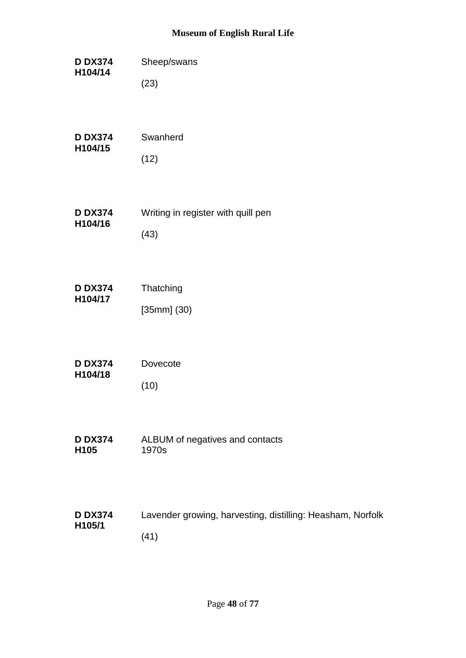| <b>D DX374</b><br>H104/14 | Sheep/swans      |
|---------------------------|------------------|
|                           | (23)             |
| <b>D DX374</b><br>H104/15 | Swanherd<br>(12) |

**D DX374 H104/16** Writing in register with quill pen (43)

| <b>D DX374</b> | Thatching     |
|----------------|---------------|
| H104/17        |               |
|                | $[35mm]$ (30) |

| <b>D DX374</b>       | Dovecote |
|----------------------|----------|
| H <sub>104</sub> /18 |          |
|                      | (10)     |

**D DX374 H105** ALBUM of negatives and contacts 1970s

#### **D DX374 H105/1** Lavender growing, harvesting, distilling: Heasham, Norfolk (41)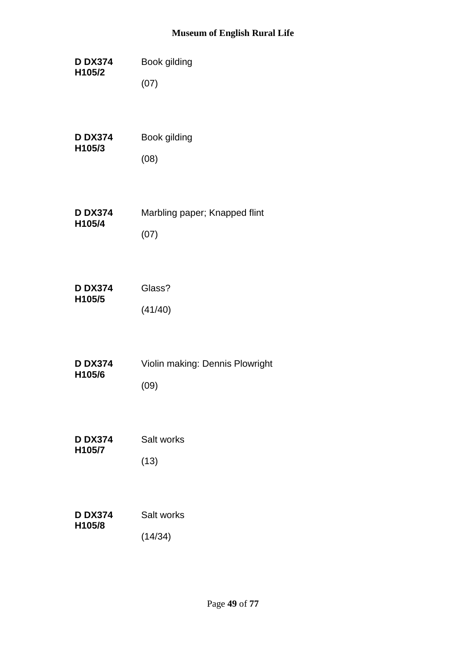| <b>D DX374</b> | Book gilding                    |
|----------------|---------------------------------|
| H105/2         | (07)                            |
| <b>D DX374</b> | Book gilding                    |
| H105/3         | (08)                            |
| <b>D DX374</b> | Marbling paper; Knapped flint   |
| H105/4         | (07)                            |
| <b>D DX374</b> | Glass?                          |
| H105/5         | (41/40)                         |
| <b>D DX374</b> | Violin making: Dennis Plowright |
| H105/6         | (09)                            |
| <b>D DX374</b> | Salt works                      |
| H105/7         | (13)                            |
| <b>D DX374</b> | Salt works                      |
| H105/8         | (14/34)                         |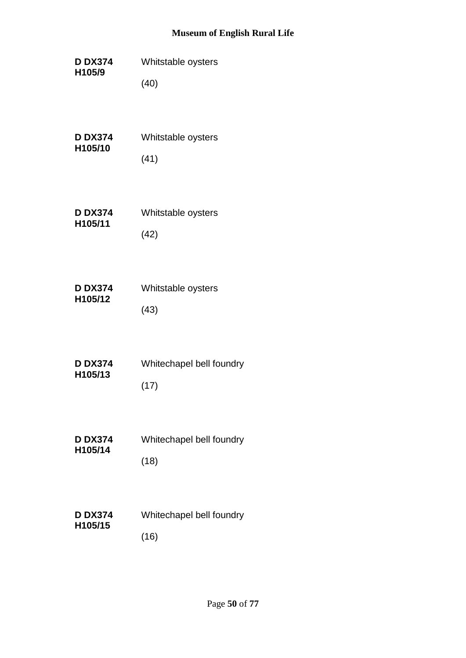**D DX374 H105/9** Whitstable oysters (40)

| <b>D DX374</b><br>H105/10 | Whitstable oysters |
|---------------------------|--------------------|
|                           | (41)               |

**D DX374 H105/11** Whitstable oysters (42)

| <b>D DX374</b><br>H105/12 | Whitstable oysters |
|---------------------------|--------------------|
|                           | (43)               |

| <b>D DX374</b><br>H105/13 | Whitechapel bell foundry |
|---------------------------|--------------------------|
|                           | (17)                     |

- **D DX374 H105/14** Whitechapel bell foundry (18)
- **D DX374 H105/15** Whitechapel bell foundry (16)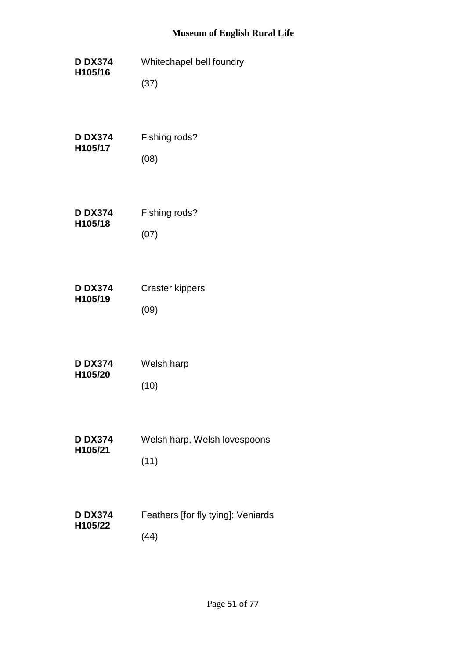**D DX374 H105/16** Whitechapel bell foundry (37) **D DX374 H105/17** Fishing rods? (08) **D DX374 H105/18** Fishing rods? (07) **D DX374 H105/19** Craster kippers (09) **D DX374 H105/20** Welsh harp (10) **D DX374 H105/21** Welsh harp, Welsh lovespoons (11) **D DX374 H105/22** Feathers [for fly tying]: Veniards (44)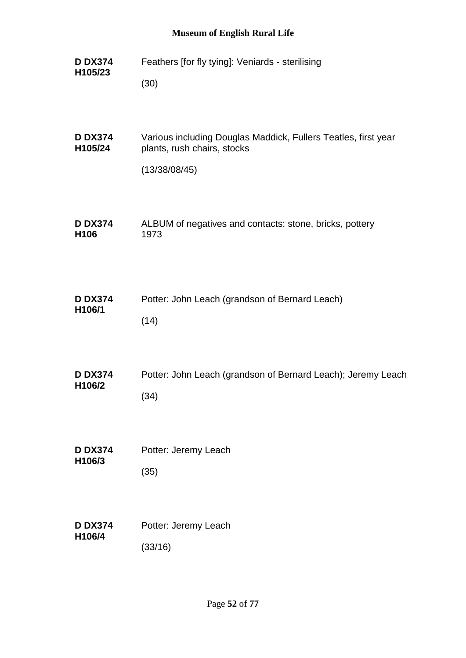**D DX374 H105/23** Feathers [for fly tying]: Veniards - sterilising (30) **D DX374 H105/24** Various including Douglas Maddick, Fullers Teatles, first year plants, rush chairs, stocks (13/38/08/45) **D DX374 H106** ALBUM of negatives and contacts: stone, bricks, pottery 1973 **D DX374 H106/1** Potter: John Leach (grandson of Bernard Leach)  $(14)$ **D DX374 H106/2** Potter: John Leach (grandson of Bernard Leach); Jeremy Leach (34) **D DX374 H106/3** Potter: Jeremy Leach (35) **D DX374 H106/4** Potter: Jeremy Leach (33/16)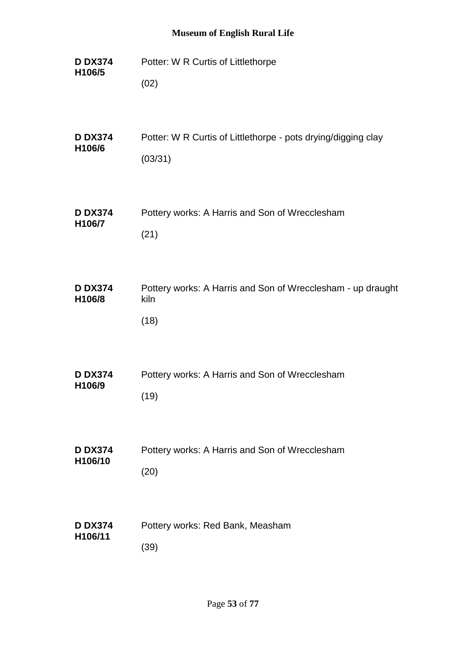| <b>D DX374</b>           | Potter: W R Curtis of Littlethorpe                                          |
|--------------------------|-----------------------------------------------------------------------------|
| H106/5                   | (02)                                                                        |
| <b>D DX374</b>           | Potter: W R Curtis of Littlethorpe - pots drying/digging clay               |
| H106/6                   | (03/31)                                                                     |
| <b>D DX374</b>           | Pottery works: A Harris and Son of Wrecclesham                              |
| H106/7                   | (21)                                                                        |
| <b>D DX374</b><br>H106/8 | Pottery works: A Harris and Son of Wrecclesham - up draught<br>kiln<br>(18) |
| <b>D DX374</b>           | Pottery works: A Harris and Son of Wrecclesham                              |
| H106/9                   | (19)                                                                        |
| <b>D DX374</b>           | Pottery works: A Harris and Son of Wrecclesham                              |
| H106/10                  | (20)                                                                        |
| <b>D DX374</b>           | Pottery works: Red Bank, Measham                                            |
| H106/11                  | (39)                                                                        |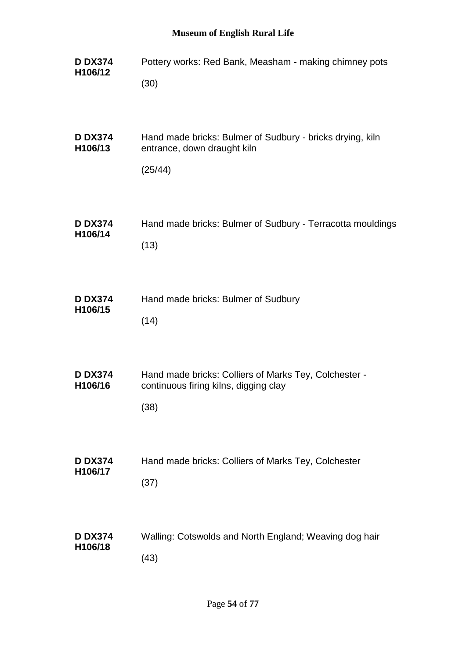| <b>D DX374</b>            | Pottery works: Red Bank, Measham - making chimney pots                                                 |
|---------------------------|--------------------------------------------------------------------------------------------------------|
| H106/12                   | (30)                                                                                                   |
| <b>D DX374</b><br>H106/13 | Hand made bricks: Bulmer of Sudbury - bricks drying, kiln<br>entrance, down draught kiln<br>(25/44)    |
| <b>D DX374</b>            | Hand made bricks: Bulmer of Sudbury - Terracotta mouldings                                             |
| H106/14                   | (13)                                                                                                   |
| <b>D DX374</b>            | Hand made bricks: Bulmer of Sudbury                                                                    |
| H106/15                   | (14)                                                                                                   |
| <b>D DX374</b><br>H106/16 | Hand made bricks: Colliers of Marks Tey, Colchester -<br>continuous firing kilns, digging clay<br>(38) |
| <b>D DX374</b>            | Hand made bricks: Colliers of Marks Tey, Colchester                                                    |
| H106/17                   | (37)                                                                                                   |
| <b>D DX374</b>            | Walling: Cotswolds and North England; Weaving dog hair                                                 |
| H106/18                   | (43)                                                                                                   |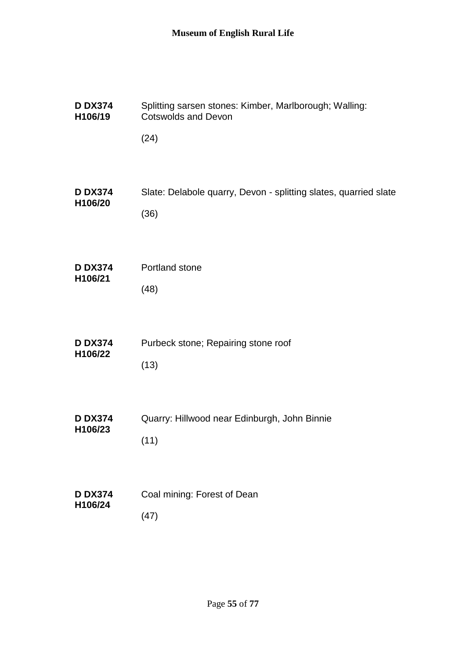| <b>D DX374</b> | Splitting sarsen stones: Kimber, Marlborough; Walling:           |
|----------------|------------------------------------------------------------------|
| H106/19        | <b>Cotswolds and Devon</b>                                       |
|                | (24)                                                             |
| <b>D DX374</b> | Slate: Delabole quarry, Devon - splitting slates, quarried slate |
| H106/20        | (36)                                                             |
| <b>D DX374</b> | Portland stone                                                   |
| H106/21        | (48)                                                             |
| <b>D DX374</b> | Purbeck stone; Repairing stone roof                              |
| H106/22        | (13)                                                             |
| <b>D DX374</b> | Quarry: Hillwood near Edinburgh, John Binnie                     |
| H106/23        | (11)                                                             |
| <b>D DX374</b> | Coal mining: Forest of Dean                                      |
| H106/24        | (47)                                                             |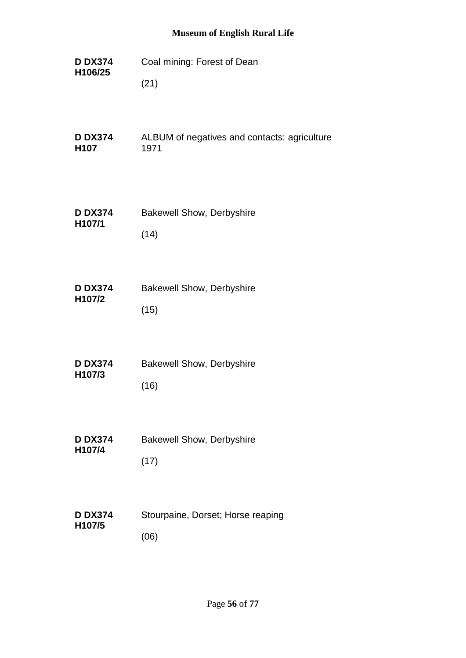**D DX374 H106/25** Coal mining: Forest of Dean (21) **D DX374 H107** ALBUM of negatives and contacts: agriculture 1971 **D DX374 H107/1** Bakewell Show, Derbyshire (14) **D DX374 H107/2** Bakewell Show, Derbyshire (15) **D DX374 H107/3** Bakewell Show, Derbyshire (16) **D DX374 H107/4** Bakewell Show, Derbyshire (17) **D DX374 H107/5** Stourpaine, Dorset; Horse reaping (06)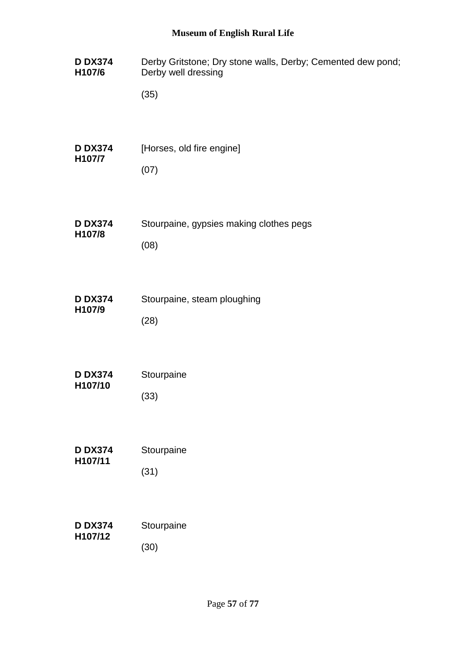| <b>D DX374</b> | Derby Gritstone; Dry stone walls, Derby; Cemented dew pond; |
|----------------|-------------------------------------------------------------|
| H107/6         | Derby well dressing                                         |
|                | (35)                                                        |
| <b>D DX374</b> | [Horses, old fire engine]                                   |
| H107/7         | (07)                                                        |
| <b>D DX374</b> | Stourpaine, gypsies making clothes pegs                     |
| H107/8         | (08)                                                        |
| <b>D DX374</b> | Stourpaine, steam ploughing                                 |
| H107/9         | (28)                                                        |
| <b>D DX374</b> | Stourpaine                                                  |
| H107/10        | (33)                                                        |
| <b>D DX374</b> | Stourpaine                                                  |
| H107/11        | (31)                                                        |
| <b>D DX374</b> | Stourpaine                                                  |
| H107/12        | (30)                                                        |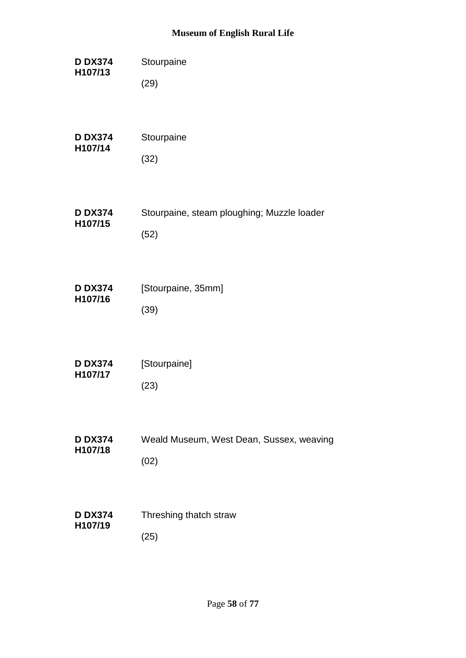| <b>D DX374</b><br>H107/13 | Stourpaine                                 |
|---------------------------|--------------------------------------------|
|                           | (29)                                       |
| <b>D DX374</b><br>H107/14 | Stourpaine                                 |
|                           | (32)                                       |
| <b>D DX374</b>            | Stourpaine, steam ploughing; Muzzle loader |
| H107/15                   | (52)                                       |
| <b>D DX374</b><br>H107/16 | [Stourpaine, 35mm]                         |
|                           | (39)                                       |
| <b>D DX374</b><br>H107/17 | [Stourpaine]                               |
|                           | (23)                                       |
| <b>D DX374</b>            | Weald Museum, West Dean, Sussex, weaving   |
| H107/18                   | (02)                                       |
| <b>D DX374</b><br>H107/19 | Threshing thatch straw                     |
|                           | (25)                                       |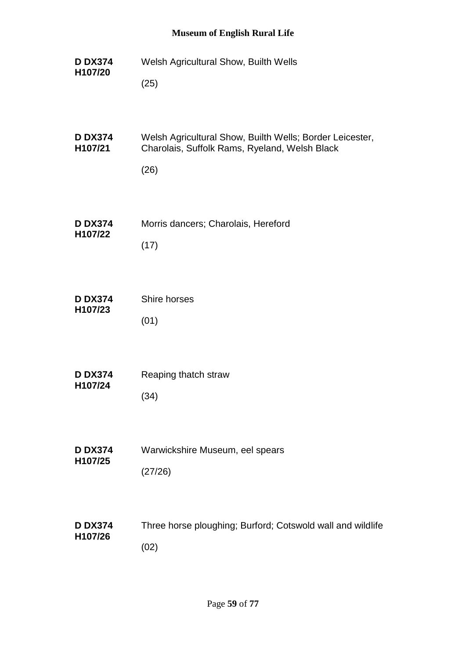**D DX374 H107/20** Welsh Agricultural Show, Builth Wells (25) **D DX374 H107/21** Welsh Agricultural Show, Builth Wells; Border Leicester, Charolais, Suffolk Rams, Ryeland, Welsh Black (26) **D DX374 H107/22** Morris dancers; Charolais, Hereford (17) **D DX374 H107/23** Shire horses (01) **D DX374 H107/24** Reaping thatch straw (34) **D DX374 H107/25** Warwickshire Museum, eel spears (27/26) **D DX374 H107/26** Three horse ploughing; Burford; Cotswold wall and wildlife (02)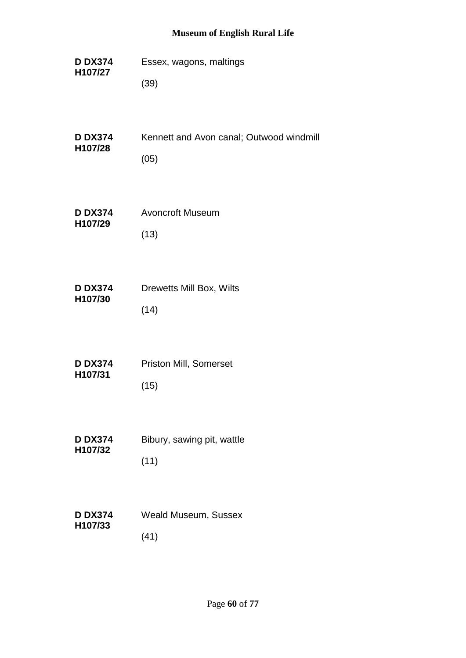- **D DX374 H107/27** Essex, wagons, maltings (39)
- **D DX374 H107/28** Kennett and Avon canal; Outwood windmill (05)
- **D DX374 H107/29** Avoncroft Museum (13)
- **D DX374 H107/30** Drewetts Mill Box, Wilts (14)
- **D DX374 H107/31** Priston Mill, Somerset (15)
- **D DX374 H107/32** Bibury, sawing pit, wattle (11)
- **D DX374 H107/33** Weald Museum, Sussex (41)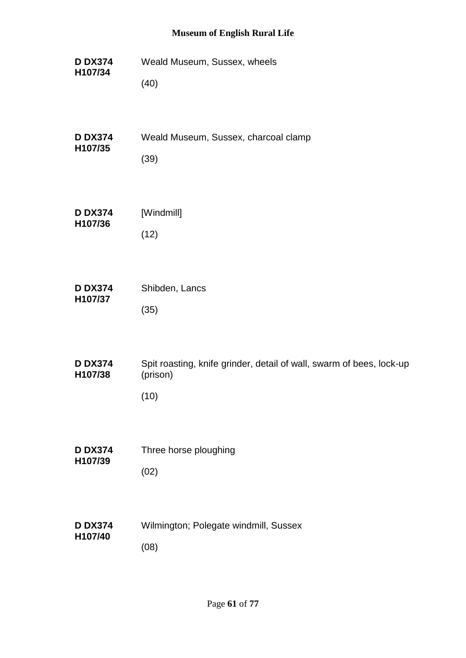**D DX374 H107/34** Weald Museum, Sussex, wheels (40) **D DX374 H107/35** Weald Museum, Sussex, charcoal clamp (39) **D DX374 H107/36** [Windmill] (12) **D DX374 H107/37** Shibden, Lancs (35) **D DX374 H107/38** Spit roasting, knife grinder, detail of wall, swarm of bees, lock-up (prison) (10) **D DX374 H107/39** Three horse ploughing (02) **D DX374 H107/40** Wilmington; Polegate windmill, Sussex (08)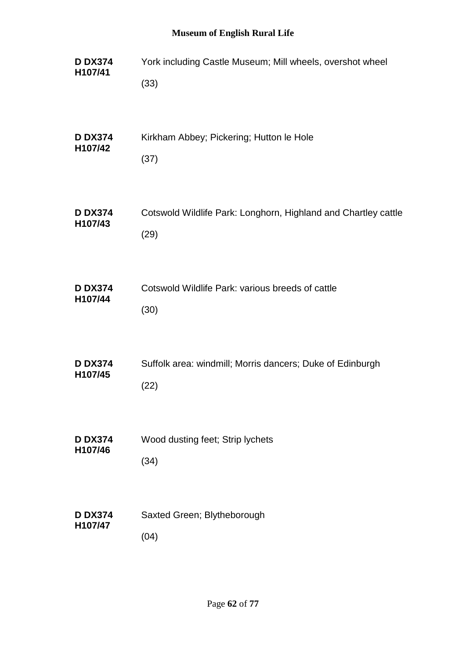| <b>D DX374</b> | York including Castle Museum; Mill wheels, overshot wheel      |
|----------------|----------------------------------------------------------------|
| H107/41        | (33)                                                           |
| <b>D DX374</b> | Kirkham Abbey; Pickering; Hutton le Hole                       |
| H107/42        | (37)                                                           |
| <b>D DX374</b> | Cotswold Wildlife Park: Longhorn, Highland and Chartley cattle |
| H107/43        | (29)                                                           |
| <b>D DX374</b> | Cotswold Wildlife Park: various breeds of cattle               |
| H107/44        | (30)                                                           |
| <b>D DX374</b> | Suffolk area: windmill; Morris dancers; Duke of Edinburgh      |
| H107/45        | (22)                                                           |
| <b>D DX374</b> | Wood dusting feet; Strip lychets                               |
| H107/46        | (34)                                                           |
| <b>D DX374</b> | Saxted Green; Blytheborough                                    |
| H107/47        | (04)                                                           |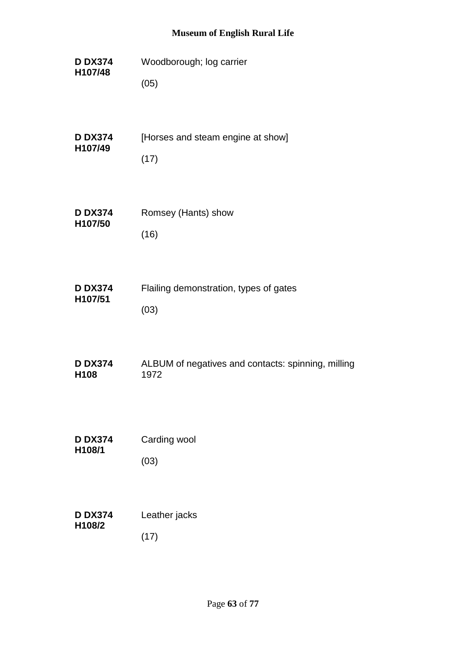**D DX374 H107/48** Woodborough; log carrier (05)

| <b>D DX374</b><br>H107/49 | [Horses and steam engine at show] |
|---------------------------|-----------------------------------|
|                           | (17)                              |

- **D DX374 H107/50** Romsey (Hants) show (16)
- **D DX374 H107/51** Flailing demonstration, types of gates (03)
- **D DX374 H108** ALBUM of negatives and contacts: spinning, milling 1972
- **D DX374 H108/1** Carding wool (03)

| <b>D DX374</b> | Leather jacks |
|----------------|---------------|
| H108/2         | (17)          |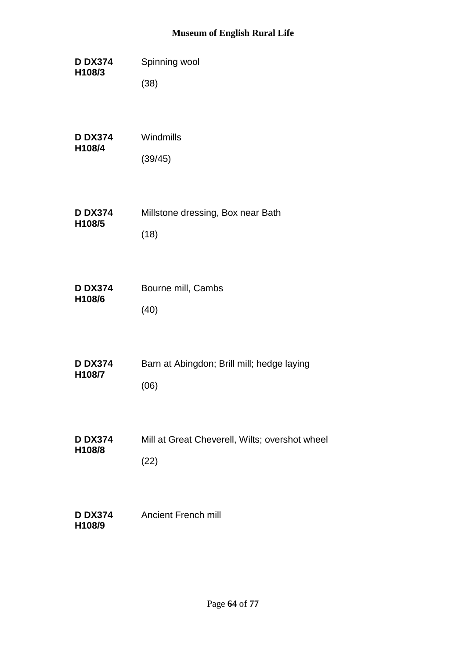| <b>D DX374</b><br>H108/3 | Spinning wool                                  |
|--------------------------|------------------------------------------------|
|                          | (38)                                           |
| <b>D DX374</b>           | Windmills                                      |
| H108/4                   | (39/45)                                        |
| <b>D DX374</b>           | Millstone dressing, Box near Bath              |
| H108/5                   | (18)                                           |
| <b>D DX374</b>           | Bourne mill, Cambs                             |
| H108/6                   | (40)                                           |
| <b>D DX374</b>           | Barn at Abingdon; Brill mill; hedge laying     |
| H108/7                   | (06)                                           |
| <b>D DX374</b>           | Mill at Great Cheverell, Wilts; overshot wheel |
| H108/8                   | (22)                                           |
| <b>D DX374</b><br>H108/9 | <b>Ancient French mill</b>                     |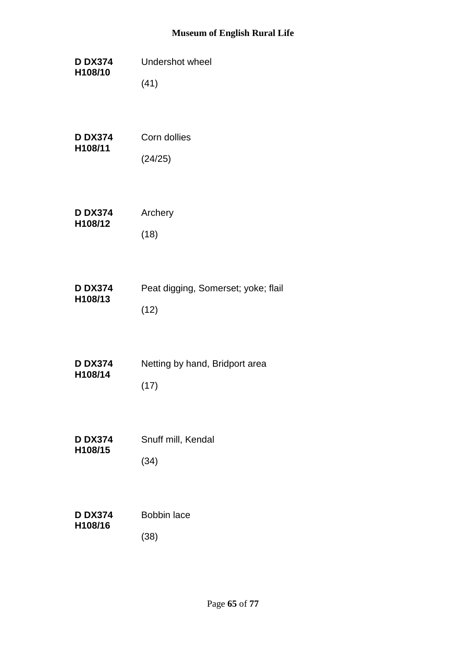| <b>D DX374</b><br>H108/10 | Undershot wheel                        |
|---------------------------|----------------------------------------|
|                           | (41)                                   |
|                           |                                        |
| <b>D DX374</b><br>H108/11 | Corn dollies                           |
|                           | (24/25)                                |
| <b>D DX374</b>            | Archery                                |
| H108/12                   | (18)                                   |
| <b>D DX374</b>            | Peat digging, Somerset; yoke; flail    |
| H108/13                   | (12)                                   |
|                           |                                        |
| <b>D DX374</b><br>H108/14 | Netting by hand, Bridport area<br>(17) |
|                           |                                        |
| <b>D DX374</b><br>H108/15 | Snuff mill, Kendal                     |
|                           | (34)                                   |
| <b>D DX374</b>            | <b>Bobbin lace</b>                     |
| H108/16                   | (38)                                   |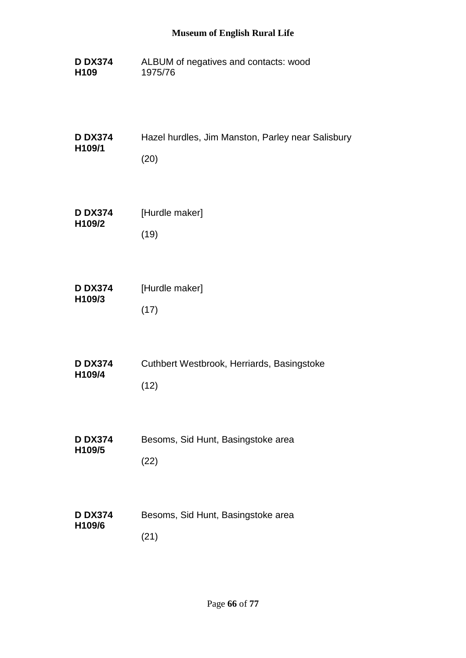**D DX374 H109** ALBUM of negatives and contacts: wood 1975/76

| <b>D DX374</b><br>H <sub>109</sub> /1 | Hazel hurdles, Jim Manston, Parley near Salisbury |
|---------------------------------------|---------------------------------------------------|
|                                       | (20)                                              |

| <b>D DX374</b><br>H109/2 | [Hurdle maker] |
|--------------------------|----------------|
|                          | (19)           |

| <b>D DX374</b><br>H109/3 | [Hurdle maker] |
|--------------------------|----------------|
|                          | (17)           |

| <b>D DX374</b><br>H109/4 | Cuthbert Westbrook, Herriards, Basingstoke |
|--------------------------|--------------------------------------------|
|                          | (12)                                       |

- **D DX374 H109/5** Besoms, Sid Hunt, Basingstoke area (22)
- **D DX374 H109/6** Besoms, Sid Hunt, Basingstoke area (21)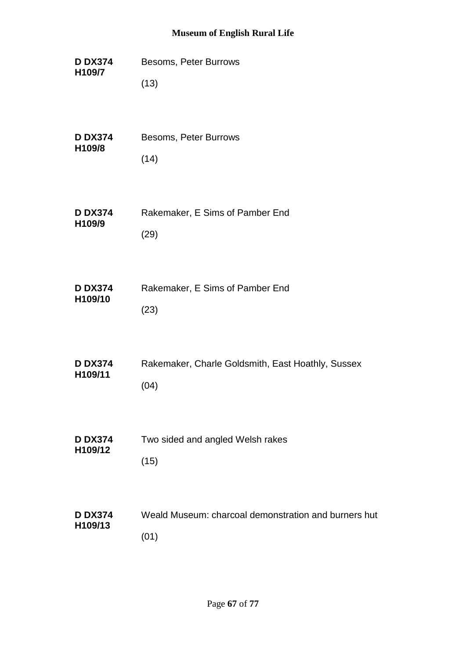**D DX374 H109/7** Besoms, Peter Burrows (13) **D DX374 H109/8** Besoms, Peter Burrows  $(14)$ **D DX374 H109/9** Rakemaker, E Sims of Pamber End (29) **D DX374 H109/10** Rakemaker, E Sims of Pamber End (23) **D DX374 H109/11** Rakemaker, Charle Goldsmith, East Hoathly, Sussex (04) **D DX374 H109/12** Two sided and angled Welsh rakes (15) **D DX374 H109/13** Weald Museum: charcoal demonstration and burners hut (01)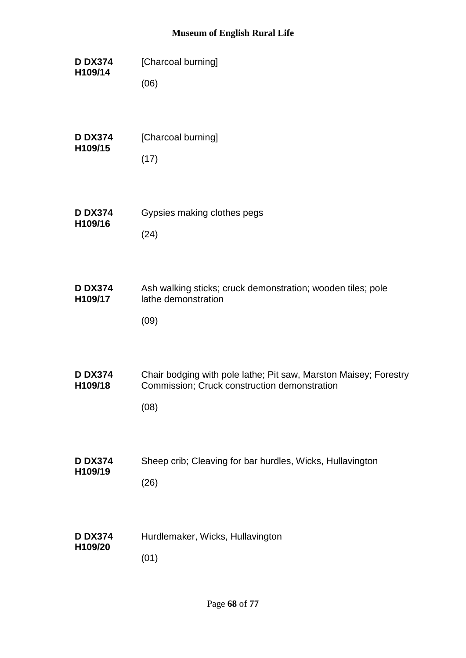**D DX374 H109/14** [Charcoal burning] (06) **D DX374 H109/15** [Charcoal burning] (17) **D DX374 H109/16** Gypsies making clothes pegs (24) **D DX374 H109/17** Ash walking sticks; cruck demonstration; wooden tiles; pole lathe demonstration (09) **D DX374 H109/18** Chair bodging with pole lathe; Pit saw, Marston Maisey; Forestry Commission; Cruck construction demonstration (08) **D DX374 H109/19** Sheep crib; Cleaving for bar hurdles, Wicks, Hullavington (26) **D DX374 H109/20** Hurdlemaker, Wicks, Hullavington (01)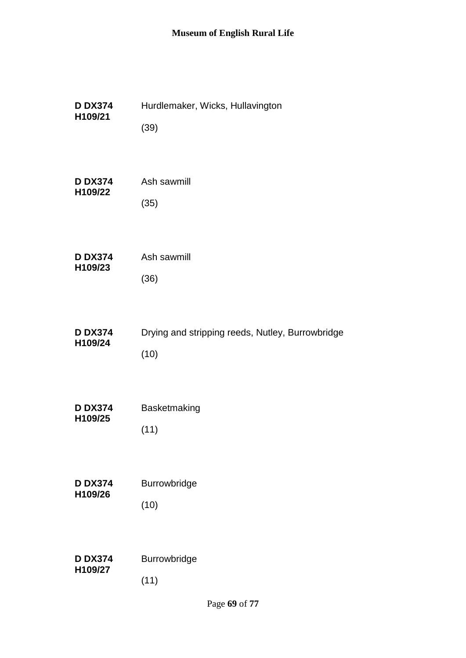| <b>D DX374</b> | Hurdlemaker, Wicks, Hullavington                 |
|----------------|--------------------------------------------------|
| H109/21        | (39)                                             |
| <b>D DX374</b> | Ash sawmill                                      |
| H109/22        | (35)                                             |
| <b>D DX374</b> | Ash sawmill                                      |
| H109/23        | (36)                                             |
| <b>D DX374</b> | Drying and stripping reeds, Nutley, Burrowbridge |
| H109/24        | (10)                                             |
| <b>D DX374</b> | Basketmaking                                     |
| H109/25        | (11)                                             |
| <b>D DX374</b> | Burrowbridge                                     |
| H109/26        | (10)                                             |
| <b>D DX374</b> | Burrowbridge                                     |
| H109/27        | (11)                                             |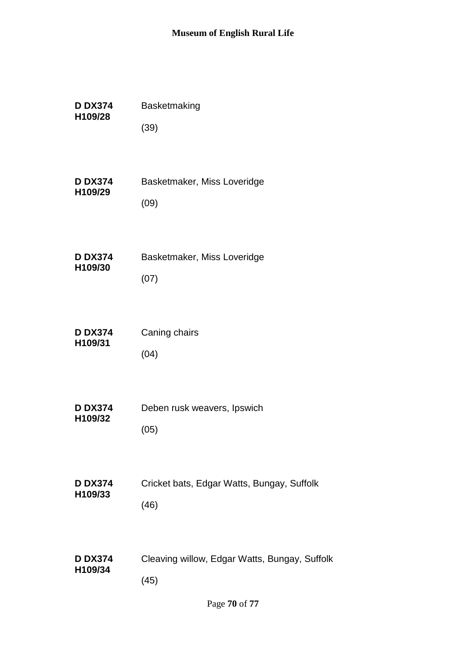| <b>D DX374</b> | Basketmaking                                  |
|----------------|-----------------------------------------------|
| H109/28        | (39)                                          |
| <b>D DX374</b> | Basketmaker, Miss Loveridge                   |
| H109/29        | (09)                                          |
| <b>D DX374</b> | Basketmaker, Miss Loveridge                   |
| H109/30        | (07)                                          |
| <b>D DX374</b> | Caning chairs                                 |
| H109/31        | (04)                                          |
| <b>D DX374</b> | Deben rusk weavers, Ipswich                   |
| H109/32        | (05)                                          |
| <b>D DX374</b> | Cricket bats, Edgar Watts, Bungay, Suffolk    |
| H109/33        | (46)                                          |
| <b>D DX374</b> | Cleaving willow, Edgar Watts, Bungay, Suffolk |
| H109/34        | (45)                                          |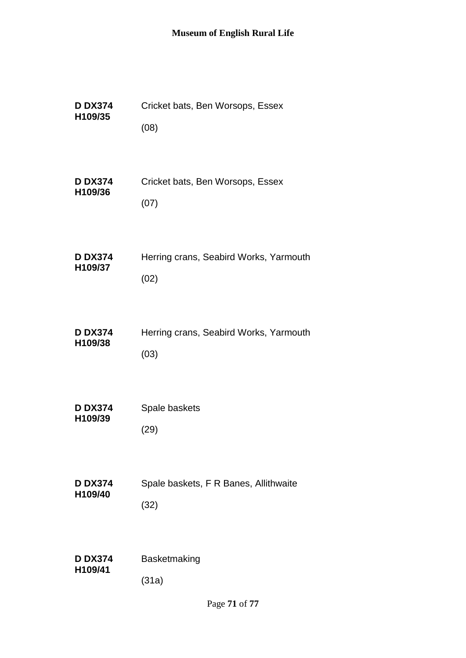| <b>D DX374</b> | Cricket bats, Ben Worsops, Essex       |
|----------------|----------------------------------------|
| H109/35        | (08)                                   |
| <b>D DX374</b> | Cricket bats, Ben Worsops, Essex       |
| H109/36        | (07)                                   |
| <b>D DX374</b> | Herring crans, Seabird Works, Yarmouth |
| H109/37        | (02)                                   |
| <b>D DX374</b> | Herring crans, Seabird Works, Yarmouth |
| H109/38        | (03)                                   |
| <b>D DX374</b> | Spale baskets                          |
| H109/39        | (29)                                   |
| <b>D DX374</b> | Spale baskets, F R Banes, Allithwaite  |
| H109/40        | (32)                                   |
| <b>D DX374</b> | Basketmaking                           |
| H109/41        | (31a)                                  |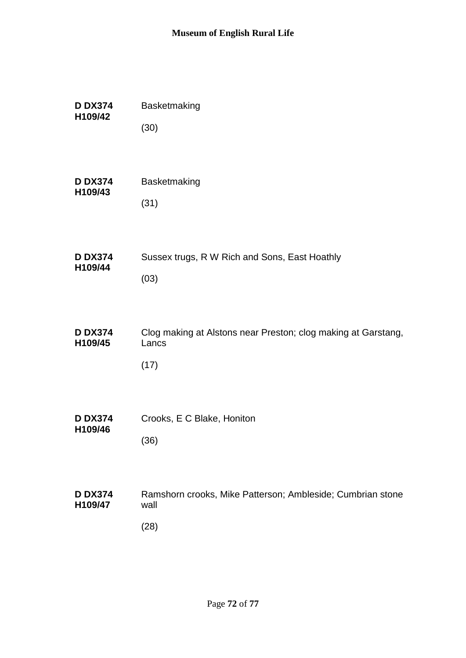| <b>D DX374</b>            | Basketmaking                                                                   |
|---------------------------|--------------------------------------------------------------------------------|
| H109/42                   | (30)                                                                           |
| <b>D DX374</b>            | Basketmaking                                                                   |
| H109/43                   | (31)                                                                           |
| <b>D DX374</b>            | Sussex trugs, R W Rich and Sons, East Hoathly                                  |
| H109/44                   | (03)                                                                           |
| <b>D DX374</b><br>H109/45 | Clog making at Alstons near Preston; clog making at Garstang,<br>Lancs<br>(17) |
| <b>D DX374</b>            | Crooks, E C Blake, Honiton                                                     |
| H109/46                   | (36)                                                                           |
| <b>D DX374</b><br>H109/47 | Ramshorn crooks, Mike Patterson; Ambleside; Cumbrian stone<br>wall<br>(28)     |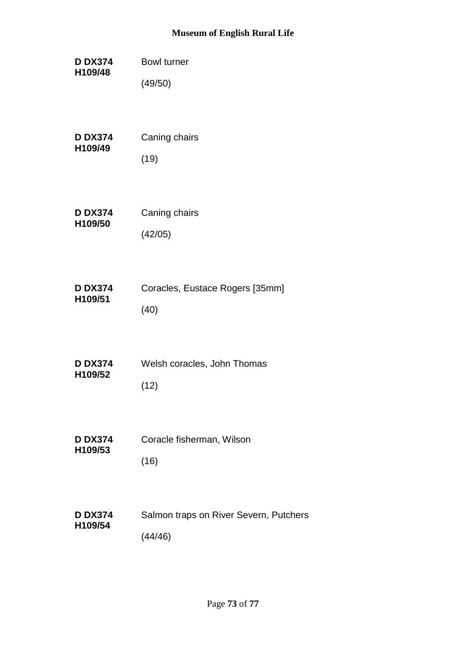## **Museum of English Rural Life**

| <b>D DX374</b> | <b>Bowl turner</b>                     |
|----------------|----------------------------------------|
| H109/48        | (49/50)                                |
| <b>D DX374</b> | Caning chairs                          |
| H109/49        | (19)                                   |
| <b>D DX374</b> | Caning chairs                          |
| H109/50        | (42/05)                                |
| <b>D DX374</b> | Coracles, Eustace Rogers [35mm]        |
| H109/51        | (40)                                   |
| <b>D DX374</b> | Welsh coracles, John Thomas            |
| H109/52        | (12)                                   |
| <b>D DX374</b> | Coracle fisherman, Wilson              |
| H109/53        | (16)                                   |
| <b>D DX374</b> | Salmon traps on River Severn, Putchers |
| H109/54        | (44/46)                                |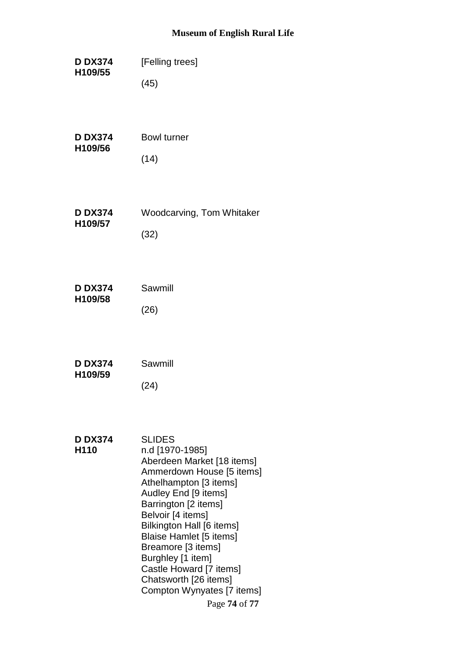## **Museum of English Rural Life**

| <b>D DX374</b>                     | [Felling trees]                                                                                                                                                                                                                                                                                                                                                                                         |
|------------------------------------|---------------------------------------------------------------------------------------------------------------------------------------------------------------------------------------------------------------------------------------------------------------------------------------------------------------------------------------------------------------------------------------------------------|
| H109/55                            | (45)                                                                                                                                                                                                                                                                                                                                                                                                    |
| <b>D DX374</b>                     | <b>Bowl turner</b>                                                                                                                                                                                                                                                                                                                                                                                      |
| H109/56                            | (14)                                                                                                                                                                                                                                                                                                                                                                                                    |
| <b>D DX374</b>                     | <b>Woodcarving, Tom Whitaker</b>                                                                                                                                                                                                                                                                                                                                                                        |
| H109/57                            | (32)                                                                                                                                                                                                                                                                                                                                                                                                    |
| <b>D DX374</b>                     | Sawmill                                                                                                                                                                                                                                                                                                                                                                                                 |
| H109/58                            | (26)                                                                                                                                                                                                                                                                                                                                                                                                    |
| <b>D DX374</b>                     | Sawmill                                                                                                                                                                                                                                                                                                                                                                                                 |
| H109/59                            | (24)                                                                                                                                                                                                                                                                                                                                                                                                    |
| <b>D DX374</b><br>H <sub>110</sub> | <b>SLIDES</b><br>n.d [1970-1985]<br>Aberdeen Market [18 items]<br>Ammerdown House [5 items]<br>Athelhampton [3 items]<br>Audley End [9 items]<br>Barrington [2 items]<br>Belvoir [4 items]<br>Bilkington Hall [6 items]<br><b>Blaise Hamlet [5 items]</b><br>Breamore [3 items]<br>Burghley [1 item]<br>Castle Howard [7 items]<br>Chatsworth [26 items]<br>Compton Wynyates [7 items]<br>Page 74 of 77 |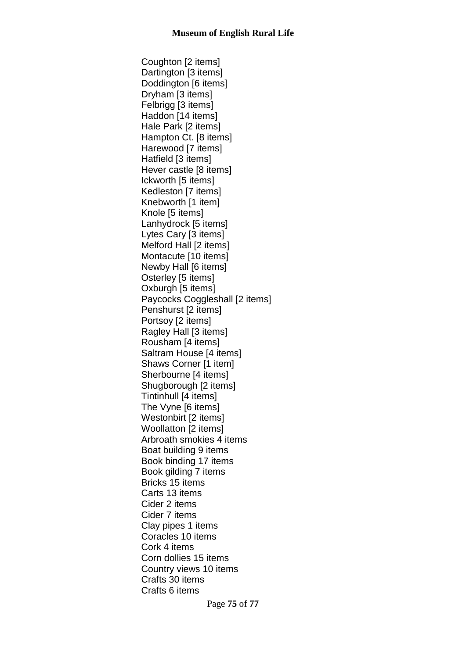Coughton [2 items] Dartington [3 items] Doddington [6 items] Dryham [3 items] Felbrigg [3 items] Haddon [14 items] Hale Park [2 items] Hampton Ct. [8 items] Harewood [7 items] Hatfield [3 items] Hever castle [8 items] Ickworth [5 items] Kedleston [7 items] Knebworth [1 item] Knole [5 items] Lanhydrock [5 items] Lytes Cary [3 items] Melford Hall [2 items] Montacute [10 items] Newby Hall [6 items] Osterley [5 items] Oxburgh [5 items] Paycocks Coggleshall [2 items] Penshurst [2 items] Portsoy [2 items] Ragley Hall [3 items] Rousham [4 items] Saltram House [4 items] Shaws Corner [1 item] Sherbourne [4 items] Shugborough [2 items] Tintinhull [4 items] The Vyne [6 items] Westonbirt [2 items] Woollatton [2 items] Arbroath smokies 4 items Boat building 9 items Book binding 17 items Book gilding 7 items Bricks 15 items Carts 13 items Cider 2 items Cider 7 items Clay pipes 1 items Coracles 10 items Cork 4 items Corn dollies 15 items Country views 10 items Crafts 30 items Crafts 6 items

Page **75** of **77**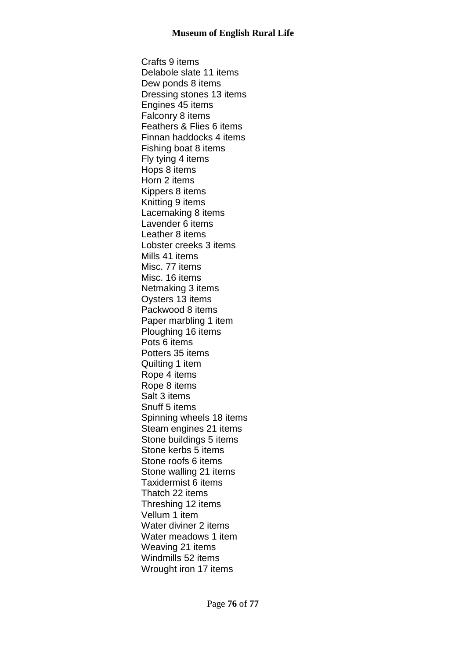Crafts 9 items Delabole slate 11 items Dew ponds 8 items Dressing stones 13 items Engines 45 items Falconry 8 items Feathers & Flies 6 items Finnan haddocks 4 items Fishing boat 8 items Fly tying 4 items Hops 8 items Horn 2 items Kippers 8 items Knitting 9 items Lacemaking 8 items Lavender 6 items Leather 8 items Lobster creeks 3 items Mills 41 items Misc. 77 items Misc. 16 items Netmaking 3 items Oysters 13 items Packwood 8 items Paper marbling 1 item Ploughing 16 items Pots 6 items Potters 35 items Quilting 1 item Rope 4 items Rope 8 items Salt 3 items Snuff 5 items Spinning wheels 18 items Steam engines 21 items Stone buildings 5 items Stone kerbs 5 items Stone roofs 6 items Stone walling 21 items Taxidermist 6 items Thatch 22 items Threshing 12 items Vellum 1 item Water diviner 2 items Water meadows 1 item Weaving 21 items Windmills 52 items Wrought iron 17 items